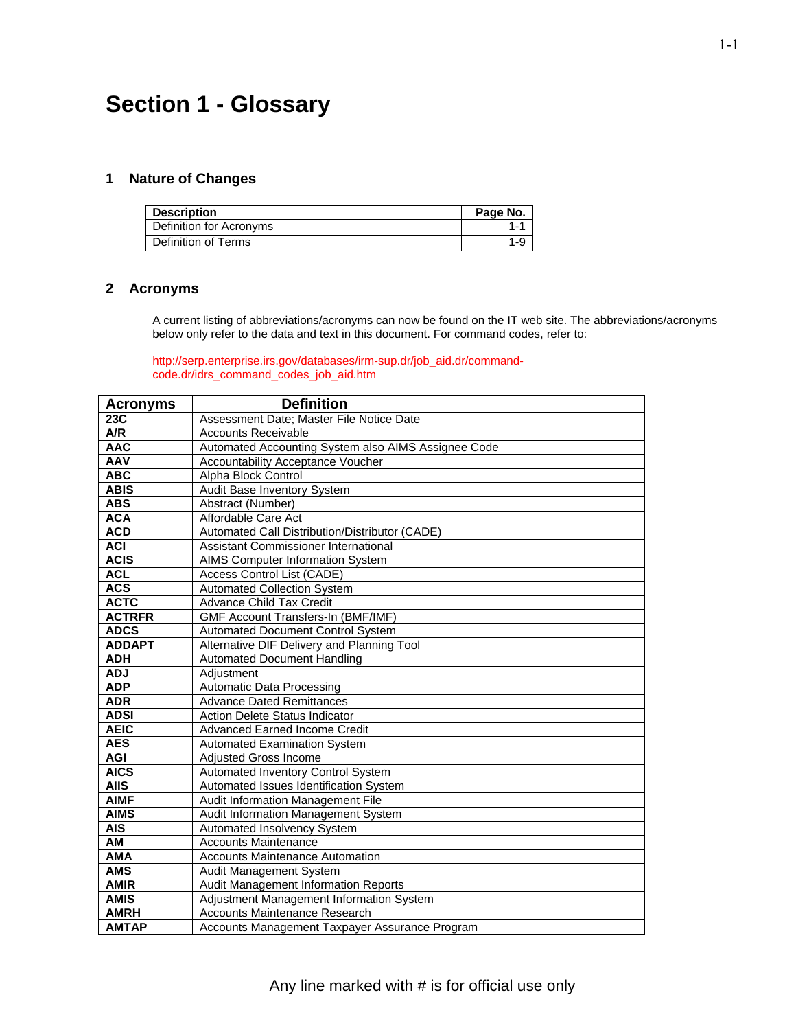# **Section 1 - Glossary**

#### **1 Nature of Changes**

| Description             | Page No. |
|-------------------------|----------|
| Definition for Acronyms | $1 - 1$  |
| Definition of Terms     | 1-9      |

### **2 Acronyms**

A current listing of abbreviations/acronyms can now be found on the IT web site. The abbreviations/acronyms below only refer to the data and text in this document. For command codes, refer to:

http://serp.enterprise.irs.gov/databases/irm-sup.dr/job\_aid.dr/commandcode.dr/idrs\_command\_codes\_job\_aid.htm

| <b>Acronyms</b>  | <b>Definition</b>                                   |
|------------------|-----------------------------------------------------|
| 23 <sub>C</sub>  | Assessment Date; Master File Notice Date            |
| $\overline{A/R}$ | <b>Accounts Receivable</b>                          |
| <b>AAC</b>       | Automated Accounting System also AIMS Assignee Code |
| <b>AAV</b>       | Accountability Acceptance Voucher                   |
| <b>ABC</b>       | Alpha Block Control                                 |
| <b>ABIS</b>      | Audit Base Inventory System                         |
| <b>ABS</b>       | Abstract (Number)                                   |
| <b>ACA</b>       | Affordable Care Act                                 |
| <b>ACD</b>       | Automated Call Distribution/Distributor (CADE)      |
| <b>ACI</b>       | Assistant Commissioner International                |
| <b>ACIS</b>      | <b>AIMS Computer Information System</b>             |
| <b>ACL</b>       | Access Control List (CADE)                          |
| <b>ACS</b>       | <b>Automated Collection System</b>                  |
| <b>ACTC</b>      | <b>Advance Child Tax Credit</b>                     |
| <b>ACTRFR</b>    | GMF Account Transfers-In (BMF/IMF)                  |
| <b>ADCS</b>      | Automated Document Control System                   |
| <b>ADDAPT</b>    | Alternative DIF Delivery and Planning Tool          |
| <b>ADH</b>       | <b>Automated Document Handling</b>                  |
| <b>ADJ</b>       | Adjustment                                          |
| <b>ADP</b>       | <b>Automatic Data Processing</b>                    |
| <b>ADR</b>       | <b>Advance Dated Remittances</b>                    |
| <b>ADSI</b>      | Action Delete Status Indicator                      |
| <b>AEIC</b>      | <b>Advanced Earned Income Credit</b>                |
| <b>AES</b>       | <b>Automated Examination System</b>                 |
| <b>AGI</b>       | Adjusted Gross Income                               |
| <b>AICS</b>      | Automated Inventory Control System                  |
| <b>AIIS</b>      | Automated Issues Identification System              |
| <b>AIMF</b>      | Audit Information Management File                   |
| <b>AIMS</b>      | Audit Information Management System                 |
| <b>AIS</b>       | Automated Insolvency System                         |
| AM               | <b>Accounts Maintenance</b>                         |
| <b>AMA</b>       | <b>Accounts Maintenance Automation</b>              |
| <b>AMS</b>       | Audit Management System                             |
| <b>AMIR</b>      | Audit Management Information Reports                |
| <b>AMIS</b>      | Adjustment Management Information System            |
| <b>AMRH</b>      | <b>Accounts Maintenance Research</b>                |
| <b>AMTAP</b>     | Accounts Management Taxpayer Assurance Program      |

1-1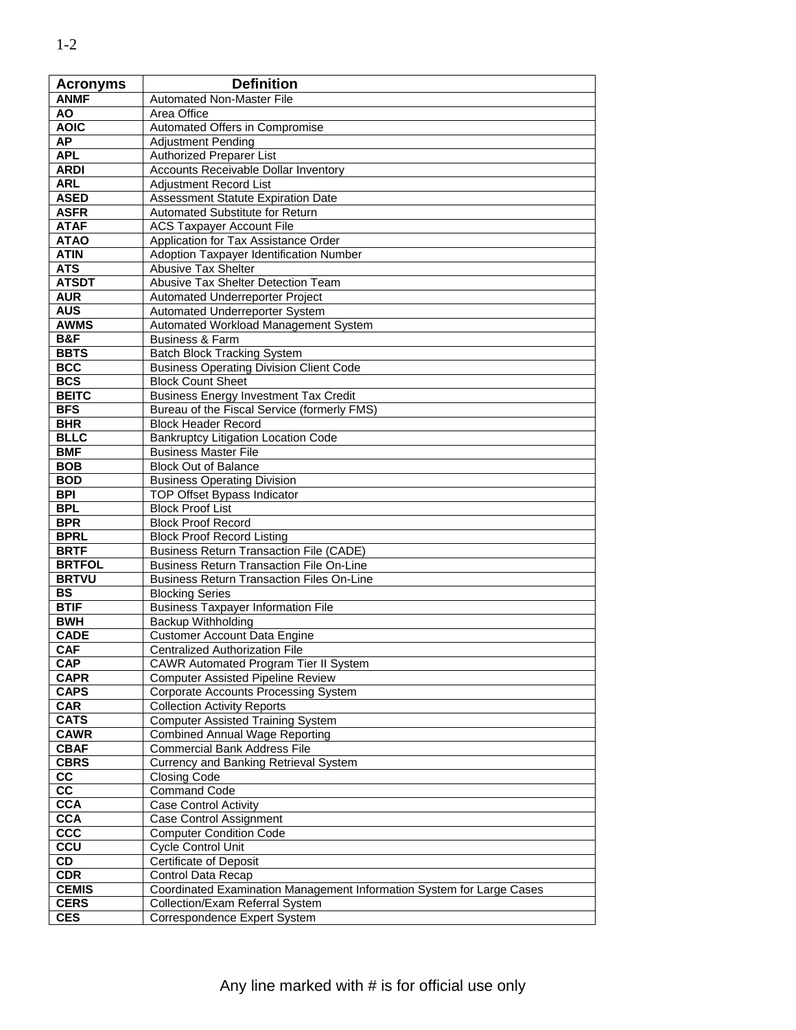| <b>Acronyms</b>        | <b>Definition</b>                                                     |
|------------------------|-----------------------------------------------------------------------|
| <b>ANMF</b>            | <b>Automated Non-Master File</b>                                      |
| ΑO                     | Area Office                                                           |
| <b>AOIC</b>            | Automated Offers in Compromise                                        |
| <b>AP</b>              | <b>Adjustment Pending</b>                                             |
| <b>APL</b>             | Authorized Preparer List                                              |
| <b>ARDI</b>            | Accounts Receivable Dollar Inventory                                  |
| <b>ARL</b>             | <b>Adjustment Record List</b>                                         |
| <b>ASED</b>            | <b>Assessment Statute Expiration Date</b>                             |
| <b>ASFR</b>            | Automated Substitute for Return                                       |
| <b>ATAF</b>            | <b>ACS Taxpayer Account File</b>                                      |
| <b>ATAO</b>            | Application for Tax Assistance Order                                  |
| <b>ATIN</b>            | <b>Adoption Taxpayer Identification Number</b>                        |
| <b>ATS</b>             | Abusive Tax Shelter                                                   |
| <b>ATSDT</b>           | Abusive Tax Shelter Detection Team                                    |
| <b>AUR</b>             | Automated Underreporter Project                                       |
| <b>AUS</b>             | Automated Underreporter System                                        |
| <b>AWMS</b>            | Automated Workload Management System                                  |
| B&F                    | <b>Business &amp; Farm</b>                                            |
| <b>BBTS</b>            | <b>Batch Block Tracking System</b>                                    |
| <b>BCC</b>             | <b>Business Operating Division Client Code</b>                        |
| <b>BCS</b>             | <b>Block Count Sheet</b>                                              |
| <b>BEITC</b>           | <b>Business Energy Investment Tax Credit</b>                          |
| <b>BFS</b>             | Bureau of the Fiscal Service (formerly FMS)                           |
| <b>BHR</b>             | <b>Block Header Record</b>                                            |
| <b>BLLC</b>            | <b>Bankruptcy Litigation Location Code</b>                            |
| <b>BMF</b>             | <b>Business Master File</b>                                           |
| <b>BOB</b>             | <b>Block Out of Balance</b>                                           |
| <b>BOD</b>             | <b>Business Operating Division</b>                                    |
| <b>BPI</b>             | TOP Offset Bypass Indicator                                           |
| <b>BPL</b>             | <b>Block Proof List</b>                                               |
| <b>BPR</b>             | <b>Block Proof Record</b>                                             |
| <b>BPRL</b>            | <b>Block Proof Record Listing</b>                                     |
| <b>BRTF</b>            | <b>Business Return Transaction File (CADE)</b>                        |
| <b>BRTFOL</b>          | <b>Business Return Transaction File On-Line</b>                       |
| <b>BRTVU</b>           | <b>Business Return Transaction Files On-Line</b>                      |
| <b>BS</b>              | <b>Blocking Series</b>                                                |
| <b>BTIF</b>            | <b>Business Taxpayer Information File</b>                             |
| <b>BWH</b>             | <b>Backup Withholding</b>                                             |
| <b>CADE</b>            | <b>Customer Account Data Engine</b>                                   |
| <b>CAF</b>             | <b>Centralized Authorization File</b>                                 |
| <b>CAP</b>             | <b>CAWR Automated Program Tier II System</b>                          |
| <b>CAPR</b>            | <b>Computer Assisted Pipeline Review</b>                              |
| <b>CAPS</b>            | <b>Corporate Accounts Processing System</b>                           |
| <b>CAR</b>             | <b>Collection Activity Reports</b>                                    |
| <b>CATS</b>            | <b>Computer Assisted Training System</b>                              |
| <b>CAWR</b>            | <b>Combined Annual Wage Reporting</b>                                 |
| <b>CBAF</b>            | <b>Commercial Bank Address File</b>                                   |
| <b>CBRS</b>            | <b>Currency and Banking Retrieval System</b>                          |
| CC                     | <b>Closing Code</b>                                                   |
| $\overline{\text{cc}}$ | <b>Command Code</b>                                                   |
| <b>CCA</b>             | <b>Case Control Activity</b>                                          |
| <b>CCA</b>             | Case Control Assignment                                               |
| CCC                    | <b>Computer Condition Code</b>                                        |
| cc <sub>u</sub>        | Cycle Control Unit                                                    |
| CD                     | <b>Certificate of Deposit</b>                                         |
| <b>CDR</b>             | Control Data Recap                                                    |
| <b>CEMIS</b>           | Coordinated Examination Management Information System for Large Cases |
| <b>CERS</b>            | Collection/Exam Referral System                                       |
| <b>CES</b>             | Correspondence Expert System                                          |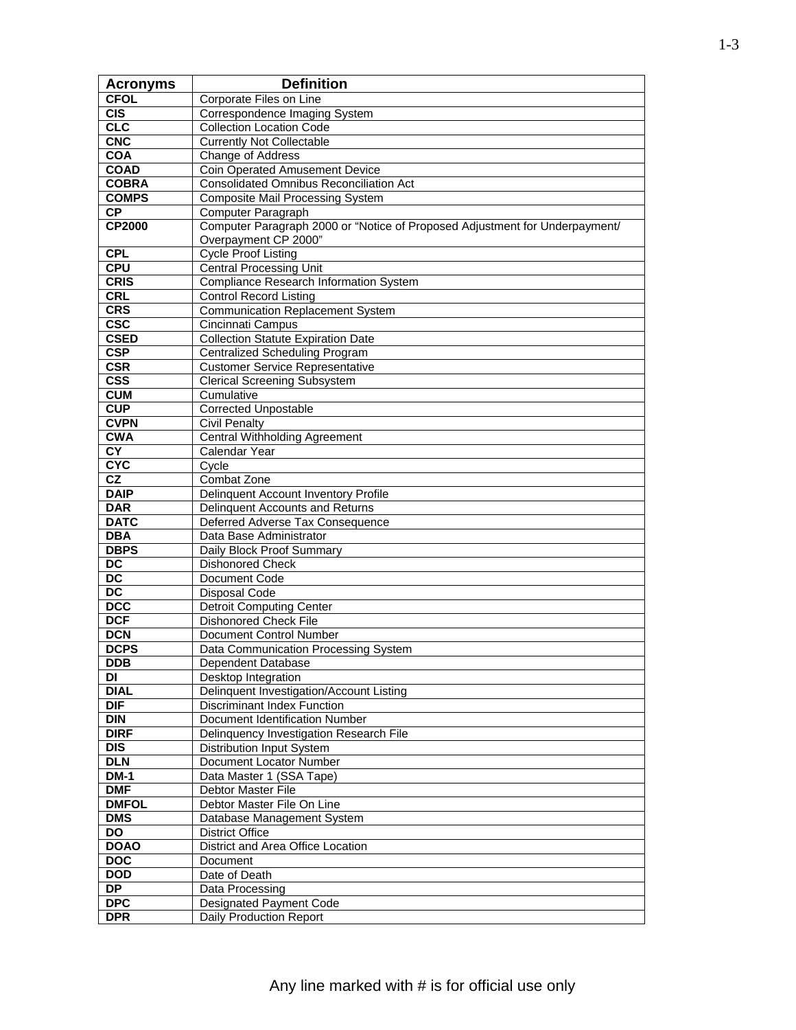| <b>Acronyms</b>                       | <b>Definition</b>                                                           |
|---------------------------------------|-----------------------------------------------------------------------------|
| <b>CFOL</b>                           | Corporate Files on Line                                                     |
| <b>CIS</b>                            | Correspondence Imaging System                                               |
| CLC                                   | <b>Collection Location Code</b>                                             |
| <b>CNC</b>                            | <b>Currently Not Collectable</b>                                            |
| <b>COA</b>                            | Change of Address                                                           |
| <b>COAD</b>                           | <b>Coin Operated Amusement Device</b>                                       |
| <b>COBRA</b>                          | <b>Consolidated Omnibus Reconciliation Act</b>                              |
| <b>COMPS</b>                          | <b>Composite Mail Processing System</b>                                     |
| <b>CP</b>                             | Computer Paragraph                                                          |
| CP2000                                | Computer Paragraph 2000 or "Notice of Proposed Adjustment for Underpayment/ |
|                                       | Overpayment CP 2000"                                                        |
| <b>CPL</b>                            | <b>Cycle Proof Listing</b>                                                  |
| <b>CPU</b>                            | <b>Central Processing Unit</b>                                              |
| <b>CRIS</b>                           | <b>Compliance Research Information System</b>                               |
| <b>CRL</b>                            | <b>Control Record Listing</b>                                               |
| <b>CRS</b>                            | <b>Communication Replacement System</b>                                     |
| <b>CSC</b>                            | Cincinnati Campus                                                           |
| <b>CSED</b>                           | <b>Collection Statute Expiration Date</b>                                   |
| <b>CSP</b>                            | <b>Centralized Scheduling Program</b>                                       |
| <b>CSR</b><br>$\overline{\text{CSS}}$ | <b>Customer Service Representative</b>                                      |
|                                       | <b>Clerical Screening Subsystem</b>                                         |
| <b>CUM</b><br>CUP                     | Cumulative<br><b>Corrected Unpostable</b>                                   |
| <b>CVPN</b>                           | <b>Civil Penalty</b>                                                        |
| <b>CWA</b>                            | <b>Central Withholding Agreement</b>                                        |
| $\overline{\mathsf{C}\mathsf{Y}}$     | Calendar Year                                                               |
| <b>CYC</b>                            | Cycle                                                                       |
| $\overline{\text{CZ}}$                | Combat Zone                                                                 |
| <b>DAIP</b>                           | Delinquent Account Inventory Profile                                        |
| <b>DAR</b>                            | Delinquent Accounts and Returns                                             |
| <b>DATC</b>                           | Deferred Adverse Tax Consequence                                            |
| <b>DBA</b>                            | Data Base Administrator                                                     |
| <b>DBPS</b>                           | Daily Block Proof Summary                                                   |
| $\overline{DC}$                       | <b>Dishonored Check</b>                                                     |
| $\overline{DC}$                       | Document Code                                                               |
| $\overline{DC}$                       | <b>Disposal Code</b>                                                        |
| <b>DCC</b>                            | <b>Detroit Computing Center</b>                                             |
| <b>DCF</b>                            | <b>Dishonored Check File</b>                                                |
| <b>DCN</b>                            | Document Control Number                                                     |
| <b>DCPS</b>                           | Data Communication Processing System                                        |
| <b>DDB</b>                            | Dependent Database                                                          |
| DI                                    | Desktop Integration                                                         |
| <b>DIAL</b>                           | Delinquent Investigation/Account Listing                                    |
| <b>DIF</b>                            | <b>Discriminant Index Function</b>                                          |
| <b>DIN</b>                            | Document Identification Number                                              |
| <b>DIRF</b>                           | Delinquency Investigation Research File                                     |
| $\overline{DIS}$                      | <b>Distribution Input System</b>                                            |
| <b>DLN</b>                            | Document Locator Number                                                     |
| <b>DM-1</b>                           | Data Master 1 (SSA Tape)<br>Debtor Master File                              |
| <b>DMF</b><br><b>DMFOL</b>            | Debtor Master File On Line                                                  |
| <b>DMS</b>                            | Database Management System                                                  |
| DO                                    | <b>District Office</b>                                                      |
| <b>DOAO</b>                           | District and Area Office Location                                           |
| <b>DOC</b>                            | Document                                                                    |
| <b>DOD</b>                            | Date of Death                                                               |
| $\overline{DP}$                       | Data Processing                                                             |
| <b>DPC</b>                            | <b>Designated Payment Code</b>                                              |
| <b>DPR</b>                            | Daily Production Report                                                     |
|                                       |                                                                             |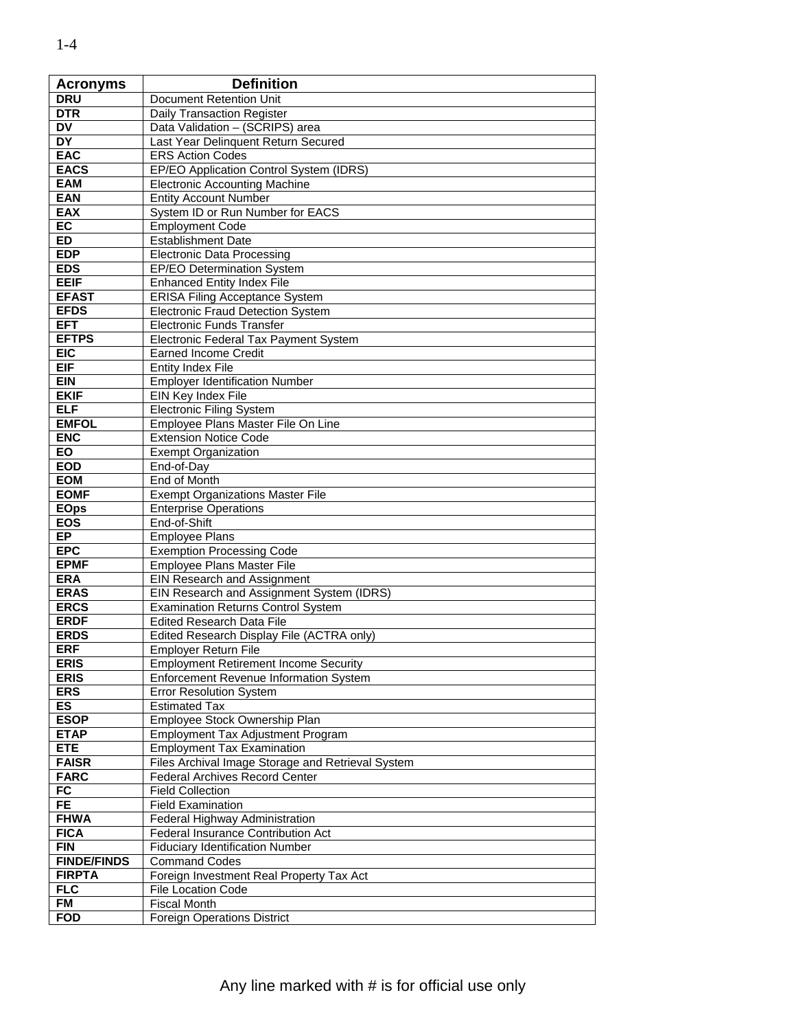| <b>Acronyms</b>            | <b>Definition</b>                                 |
|----------------------------|---------------------------------------------------|
| <b>DRU</b>                 | Document Retention Unit                           |
| <b>DTR</b>                 | Daily Transaction Register                        |
| $D\overline{V}$            | Data Validation - (SCRIPS) area                   |
| <b>DY</b>                  | Last Year Delinquent Return Secured               |
| <b>EAC</b>                 | <b>ERS Action Codes</b>                           |
| <b>EACS</b>                | EP/EO Application Control System (IDRS)           |
| <b>EAM</b>                 | <b>Electronic Accounting Machine</b>              |
| <b>EAN</b>                 | <b>Entity Account Number</b>                      |
| <b>EAX</b>                 | System ID or Run Number for EACS                  |
| EC                         | <b>Employment Code</b>                            |
| <b>ED</b>                  | <b>Establishment Date</b>                         |
| <b>EDP</b>                 | <b>Electronic Data Processing</b>                 |
| <b>EDS</b>                 | <b>EP/EO Determination System</b>                 |
| <b>EEIF</b>                | <b>Enhanced Entity Index File</b>                 |
| <b>EFAST</b>               | <b>ERISA Filing Acceptance System</b>             |
| <b>EFDS</b>                | <b>Electronic Fraud Detection System</b>          |
| <b>EFT</b>                 | <b>Electronic Funds Transfer</b>                  |
| <b>EFTPS</b>               | Electronic Federal Tax Payment System             |
| <b>EIC</b>                 | <b>Earned Income Credit</b>                       |
| <b>EIF</b>                 | <b>Entity Index File</b>                          |
| <b>EIN</b>                 | <b>Employer Identification Number</b>             |
| <b>EKIF</b>                | EIN Key Index File                                |
| <b>ELF</b>                 | <b>Electronic Filing System</b>                   |
|                            |                                                   |
| <b>EMFOL</b><br><b>ENC</b> | Employee Plans Master File On Line                |
| <b>EO</b>                  | <b>Extension Notice Code</b>                      |
| <b>EOD</b>                 | <b>Exempt Organization</b>                        |
| <b>EOM</b>                 | End-of-Day<br>End of Month                        |
| <b>EOMF</b>                | <b>Exempt Organizations Master File</b>           |
| <b>EOps</b>                | <b>Enterprise Operations</b>                      |
| <b>EOS</b>                 | End-of-Shift                                      |
| <b>EP</b>                  | <b>Employee Plans</b>                             |
| <b>EPC</b>                 | <b>Exemption Processing Code</b>                  |
| <b>EPMF</b>                | Employee Plans Master File                        |
| <b>ERA</b>                 | <b>EIN Research and Assignment</b>                |
| <b>ERAS</b>                | EIN Research and Assignment System (IDRS)         |
| <b>ERCS</b>                | <b>Examination Returns Control System</b>         |
| <b>ERDF</b>                | <b>Edited Research Data File</b>                  |
| <b>ERDS</b>                | Edited Research Display File (ACTRA only)         |
| <b>ERF</b>                 | <b>Employer Return File</b>                       |
| <b>ERIS</b>                | <b>Employment Retirement Income Security</b>      |
| <b>ERIS</b>                | Enforcement Revenue Information System            |
| <b>ERS</b>                 | <b>Error Resolution System</b>                    |
| ES                         | <b>Estimated Tax</b>                              |
| <b>ESOP</b>                | Employee Stock Ownership Plan                     |
| <b>ETAP</b>                | <b>Employment Tax Adjustment Program</b>          |
| <b>ETE</b>                 | <b>Employment Tax Examination</b>                 |
| <b>FAISR</b>               | Files Archival Image Storage and Retrieval System |
| <b>FARC</b>                | <b>Federal Archives Record Center</b>             |
| FC                         | <b>Field Collection</b>                           |
| FE.                        | <b>Field Examination</b>                          |
| <b>FHWA</b>                | Federal Highway Administration                    |
| <b>FICA</b>                | Federal Insurance Contribution Act                |
| <b>FIN</b>                 | <b>Fiduciary Identification Number</b>            |
| <b>FINDE/FINDS</b>         | <b>Command Codes</b>                              |
| <b>FIRPTA</b>              | Foreign Investment Real Property Tax Act          |
| <b>FLC</b>                 | <b>File Location Code</b>                         |
| <b>FM</b>                  | <b>Fiscal Month</b>                               |
| <b>FOD</b>                 | <b>Foreign Operations District</b>                |
|                            |                                                   |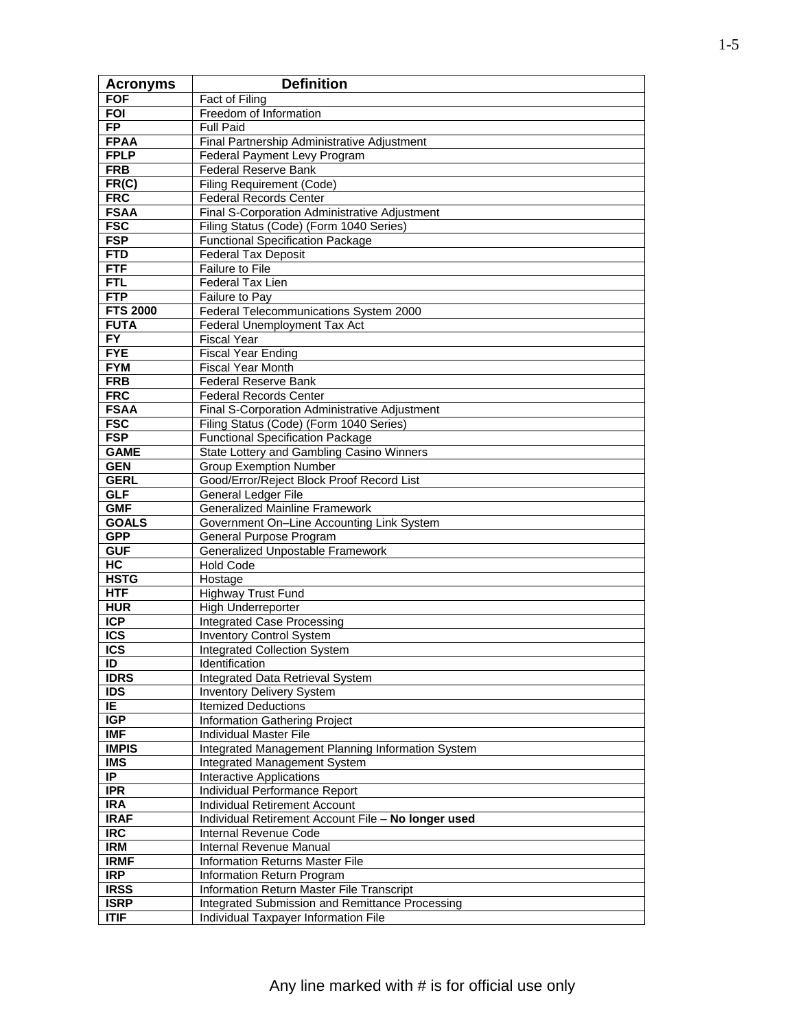| <b>Acronyms</b>               | <b>Definition</b>                                   |
|-------------------------------|-----------------------------------------------------|
| <b>FOF</b>                    | Fact of Filing                                      |
| <b>FOI</b>                    | Freedom of Information                              |
| <b>FP</b>                     | <b>Full Paid</b>                                    |
| <b>FPAA</b>                   | Final Partnership Administrative Adjustment         |
| <b>FPLP</b>                   | Federal Payment Levy Program                        |
| <b>FRB</b>                    | <b>Federal Reserve Bank</b>                         |
| FR(C)                         | <b>Filing Requirement (Code)</b>                    |
| <b>FRC</b>                    | <b>Federal Records Center</b>                       |
| <b>FSAA</b>                   | Final S-Corporation Administrative Adjustment       |
| <b>FSC</b>                    | Filing Status (Code) (Form 1040 Series)             |
| <b>FSP</b>                    | <b>Functional Specification Package</b>             |
| <b>FTD</b>                    | <b>Federal Tax Deposit</b>                          |
| <b>FTF</b>                    | Failure to File                                     |
| <b>FTL</b>                    | Federal Tax Lien                                    |
| FTP                           | Failure to Pay                                      |
| <b>FTS 2000</b>               | Federal Telecommunications System 2000              |
| <b>FUTA</b>                   | Federal Unemployment Tax Act                        |
| $\overline{FY}$               | <b>Fiscal Year</b>                                  |
| <b>FYE</b>                    | <b>Fiscal Year Ending</b>                           |
| <b>FYM</b>                    | <b>Fiscal Year Month</b>                            |
| <b>FRB</b>                    | <b>Federal Reserve Bank</b>                         |
| <b>FRC</b>                    | <b>Federal Records Center</b>                       |
| <b>FSAA</b>                   | Final S-Corporation Administrative Adjustment       |
| <b>FSC</b>                    | Filing Status (Code) (Form 1040 Series)             |
| <b>FSP</b>                    | <b>Functional Specification Package</b>             |
| <b>GAME</b>                   | State Lottery and Gambling Casino Winners           |
| <b>GEN</b>                    | <b>Group Exemption Number</b>                       |
| <b>GERL</b>                   | Good/Error/Reject Block Proof Record List           |
| <b>GLF</b>                    | General Ledger File                                 |
| <b>GMF</b>                    | <b>Generalized Mainline Framework</b>               |
| <b>GOALS</b>                  | Government On-Line Accounting Link System           |
| <b>GPP</b>                    | General Purpose Program                             |
| <b>GUF</b>                    | Generalized Unpostable Framework                    |
| H <sub>C</sub><br><b>HSTG</b> | <b>Hold Code</b>                                    |
| <b>HTF</b>                    | Hostage<br><b>Highway Trust Fund</b>                |
| <b>HUR</b>                    | High Underreporter                                  |
| <b>ICP</b>                    | <b>Integrated Case Processing</b>                   |
| <b>ICS</b>                    | <b>Inventory Control System</b>                     |
| $\overline{\text{ICS}}$       | <b>Integrated Collection System</b>                 |
| ID                            | Identification                                      |
| <b>IDRS</b>                   | <b>Integrated Data Retrieval System</b>             |
| <b>IDS</b>                    | <b>Inventory Delivery System</b>                    |
| IE.                           | <b>Itemized Deductions</b>                          |
| IGP                           | <b>Information Gathering Project</b>                |
| <b>IMF</b>                    | <b>Individual Master File</b>                       |
| <b>IMPIS</b>                  | Integrated Management Planning Information System   |
| <b>IMS</b>                    | <b>Integrated Management System</b>                 |
| IP                            | <b>Interactive Applications</b>                     |
| <b>IPR</b>                    | Individual Performance Report                       |
| <b>IRA</b>                    | <b>Individual Retirement Account</b>                |
| <b>IRAF</b>                   | Individual Retirement Account File - No longer used |
| $\overline{\text{IRC}}$       | Internal Revenue Code                               |
| <b>IRM</b>                    | Internal Revenue Manual                             |
| <b>IRMF</b>                   | <b>Information Returns Master File</b>              |
| <b>IRP</b>                    | Information Return Program                          |
| <b>IRSS</b>                   | Information Return Master File Transcript           |
| <b>ISRP</b>                   | Integrated Submission and Remittance Processing     |
| <b>ITIF</b>                   | Individual Taxpayer Information File                |
|                               |                                                     |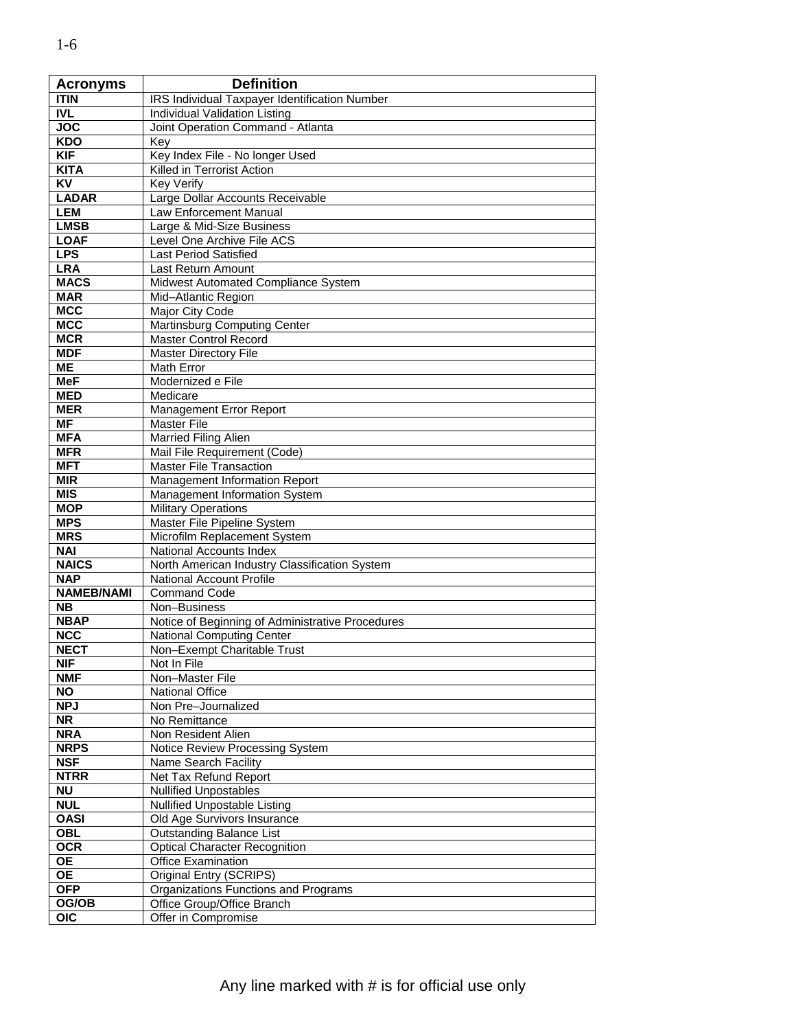| <b>Acronyms</b>           | <b>Definition</b>                                |
|---------------------------|--------------------------------------------------|
| <b>TTIN</b>               | IRS Individual Taxpayer Identification Number    |
| <b>IVL</b>                | Individual Validation Listing                    |
| <b>JOC</b>                | Joint Operation Command - Atlanta                |
| <b>KDO</b>                | Key                                              |
| <b>KIF</b>                | Key Index File - No longer Used                  |
| <b>KITA</b>               | Killed in Terrorist Action                       |
| <b>KV</b>                 | <b>Key Verify</b>                                |
| <b>LADAR</b>              | Large Dollar Accounts Receivable                 |
| <b>LEM</b>                | Law Enforcement Manual                           |
| <b>LMSB</b>               | Large & Mid-Size Business                        |
| <b>LOAF</b>               | Level One Archive File ACS                       |
| <b>LPS</b>                | <b>Last Period Satisfied</b>                     |
| <b>LRA</b>                | Last Return Amount                               |
| <b>MACS</b>               | Midwest Automated Compliance System              |
| <b>MAR</b>                | Mid-Atlantic Region                              |
| <b>MCC</b>                | Major City Code                                  |
| <b>MCC</b>                | Martinsburg Computing Center                     |
| <b>MCR</b>                | <b>Master Control Record</b>                     |
| <b>MDF</b>                | <b>Master Directory File</b>                     |
| $\overline{\mathsf{ME}}$  | Math Error                                       |
| MeF                       | Modernized e File                                |
| <b>MED</b>                | Medicare                                         |
| <b>MER</b>                | Management Error Report                          |
| $\overline{\mathsf{MF}}$  | <b>Master File</b>                               |
| <b>MFA</b>                | Married Filing Alien                             |
| <b>MFR</b>                | Mail File Requirement (Code)                     |
| <b>MFT</b>                | <b>Master File Transaction</b>                   |
| <b>MIR</b>                | Management Information Report                    |
| <b>MIS</b>                | Management Information System                    |
| <b>MOP</b>                | <b>Military Operations</b>                       |
| <b>MPS</b>                | Master File Pipeline System                      |
| <b>MRS</b>                | Microfilm Replacement System                     |
| <b>NAI</b>                | National Accounts Index                          |
| <b>NAICS</b>              | North American Industry Classification System    |
| <b>NAP</b>                | <b>National Account Profile</b>                  |
| <b>NAMEB/NAMI</b>         | <b>Command Code</b>                              |
| <b>NB</b>                 | Non-Business                                     |
| <b>NBAP</b>               | Notice of Beginning of Administrative Procedures |
| <b>NCC</b>                | <b>National Computing Center</b>                 |
| <b>NECT</b><br><b>NIF</b> | Non-Exempt Charitable Trust                      |
|                           | Not In File                                      |
| <b>NMF</b><br><b>NO</b>   | Non-Master File                                  |
| <b>NPJ</b>                | National Office<br>Non Pre-Journalized           |
| <b>NR</b>                 | No Remittance                                    |
| <b>NRA</b>                | Non Resident Alien                               |
| <b>NRPS</b>               | Notice Review Processing System                  |
| <b>NSF</b>                | Name Search Facility                             |
| <b>NTRR</b>               | Net Tax Refund Report                            |
| <b>NU</b>                 | <b>Nullified Unpostables</b>                     |
| <b>NUL</b>                | Nullified Unpostable Listing                     |
| <b>OASI</b>               | Old Age Survivors Insurance                      |
| <b>OBL</b>                | <b>Outstanding Balance List</b>                  |
| <b>OCR</b>                | <b>Optical Character Recognition</b>             |
| $\overline{OE}$           | <b>Office Examination</b>                        |
| <b>OE</b>                 | Original Entry (SCRIPS)                          |
| <b>OFP</b>                | Organizations Functions and Programs             |
| OG/OB                     | Office Group/Office Branch                       |
| <b>OIC</b>                | Offer in Compromise                              |
|                           |                                                  |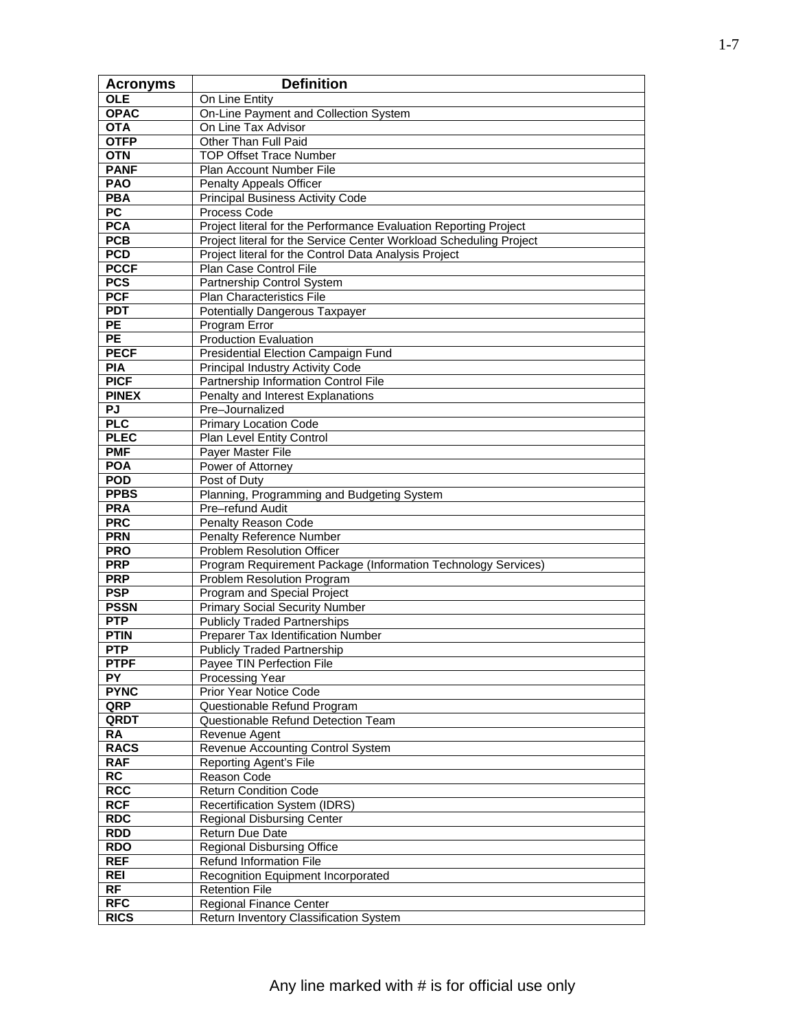| <b>Acronyms</b>  | <b>Definition</b>                                                  |
|------------------|--------------------------------------------------------------------|
| <b>OLE</b>       | On Line Entity                                                     |
| <b>OPAC</b>      | On-Line Payment and Collection System                              |
| <b>OTA</b>       | On Line Tax Advisor                                                |
| <b>OTFP</b>      | Other Than Full Paid                                               |
| <b>OTN</b>       | <b>TOP Offset Trace Number</b>                                     |
| <b>PANF</b>      | Plan Account Number File                                           |
| <b>PAO</b>       | <b>Penalty Appeals Officer</b>                                     |
| <b>PBA</b>       | <b>Principal Business Activity Code</b>                            |
| PC               | Process Code                                                       |
| <b>PCA</b>       | Project literal for the Performance Evaluation Reporting Project   |
| <b>PCB</b>       | Project literal for the Service Center Workload Scheduling Project |
| <b>PCD</b>       | Project literal for the Control Data Analysis Project              |
| <b>PCCF</b>      | Plan Case Control File                                             |
| PCS              | Partnership Control System                                         |
| <b>PCF</b>       | Plan Characteristics File                                          |
| <b>PDT</b>       | Potentially Dangerous Taxpayer                                     |
| <b>PE</b>        | Program Error                                                      |
| $\overline{PE}$  | <b>Production Evaluation</b>                                       |
| <b>PECF</b>      | Presidential Election Campaign Fund                                |
| <b>PIA</b>       | <b>Principal Industry Activity Code</b>                            |
| <b>PICF</b>      | Partnership Information Control File                               |
| <b>PINEX</b>     | Penalty and Interest Explanations                                  |
| PJ<br><b>PLC</b> | Pre-Journalized<br><b>Primary Location Code</b>                    |
| <b>PLEC</b>      | Plan Level Entity Control                                          |
| <b>PMF</b>       | <b>Payer Master File</b>                                           |
| <b>POA</b>       | Power of Attorney                                                  |
| <b>POD</b>       | Post of Duty                                                       |
| <b>PPBS</b>      | Planning, Programming and Budgeting System                         |
| <b>PRA</b>       | Pre-refund Audit                                                   |
| <b>PRC</b>       | Penalty Reason Code                                                |
| <b>PRN</b>       | Penalty Reference Number                                           |
| <b>PRO</b>       | <b>Problem Resolution Officer</b>                                  |
| <b>PRP</b>       | Program Requirement Package (Information Technology Services)      |
| <b>PRP</b>       | Problem Resolution Program                                         |
| <b>PSP</b>       | Program and Special Project                                        |
| <b>PSSN</b>      | <b>Primary Social Security Number</b>                              |
| <b>PTP</b>       | <b>Publicly Traded Partnerships</b>                                |
| <b>PTIN</b>      | Preparer Tax Identification Number                                 |
| <b>PTP</b>       | <b>Publicly Traded Partnership</b>                                 |
| <b>PTPF</b>      | Payee TIN Perfection File                                          |
| <b>PY</b>        | <b>Processing Year</b>                                             |
| <b>PYNC</b>      | Prior Year Notice Code                                             |
| QRP              | Questionable Refund Program                                        |
| QRDT             | Questionable Refund Detection Team                                 |
| $R$ $A$          | Revenue Agent                                                      |
| <b>RACS</b>      | Revenue Accounting Control System                                  |
| <b>RAF</b><br>RC | Reporting Agent's File<br>Reason Code                              |
| <b>RCC</b>       | <b>Return Condition Code</b>                                       |
| <b>RCF</b>       | Recertification System (IDRS)                                      |
| <b>RDC</b>       | <b>Regional Disbursing Center</b>                                  |
| <b>RDD</b>       | Return Due Date                                                    |
| <b>RDO</b>       | <b>Regional Disbursing Office</b>                                  |
| <b>REF</b>       | Refund Information File                                            |
| <b>REI</b>       | Recognition Equipment Incorporated                                 |
| RF               | <b>Retention File</b>                                              |
| <b>RFC</b>       | <b>Regional Finance Center</b>                                     |
| <b>RICS</b>      | Return Inventory Classification System                             |
|                  |                                                                    |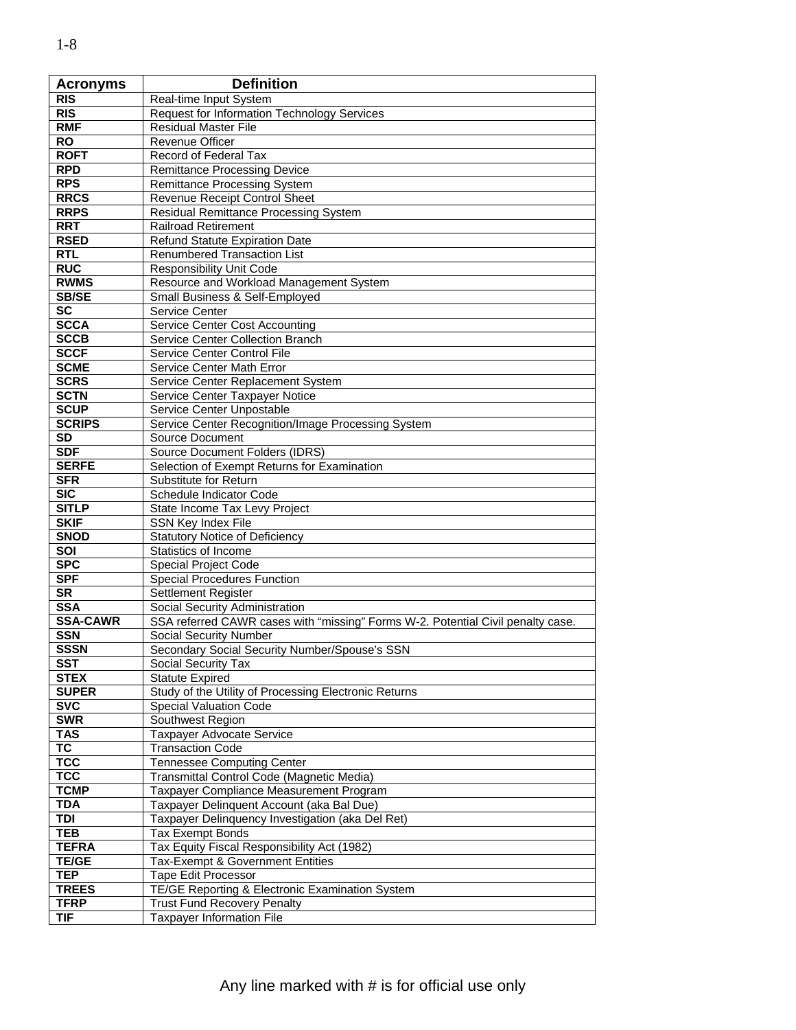| <b>Acronyms</b>        | <b>Definition</b>                                                               |
|------------------------|---------------------------------------------------------------------------------|
| <b>RIS</b>             | Real-time Input System                                                          |
| <b>RIS</b>             | <b>Request for Information Technology Services</b>                              |
| <b>RMF</b>             | Residual Master File                                                            |
| <b>RO</b>              | <b>Revenue Officer</b>                                                          |
| <b>ROFT</b>            | Record of Federal Tax                                                           |
| <b>RPD</b>             | <b>Remittance Processing Device</b>                                             |
| <b>RPS</b>             | <b>Remittance Processing System</b>                                             |
| <b>RRCS</b>            | Revenue Receipt Control Sheet                                                   |
| <b>RRPS</b>            | Residual Remittance Processing System                                           |
| <b>RRT</b>             | <b>Railroad Retirement</b>                                                      |
| <b>RSED</b>            | <b>Refund Statute Expiration Date</b>                                           |
| <b>RTL</b>             | Renumbered Transaction List                                                     |
| <b>RUC</b>             | Responsibility Unit Code                                                        |
| <b>RWMS</b>            | Resource and Workload Management System                                         |
| <b>SB/SE</b>           | Small Business & Self-Employed                                                  |
| <b>SC</b>              | Service Center                                                                  |
| <b>SCCA</b>            | <b>Service Center Cost Accounting</b>                                           |
| <b>SCCB</b>            | Service Center Collection Branch                                                |
| <b>SCCF</b>            | Service Center Control File                                                     |
| <b>SCME</b>            | Service Center Math Error                                                       |
| <b>SCRS</b>            | Service Center Replacement System                                               |
| <b>SCTN</b>            | Service Center Taxpayer Notice                                                  |
| <b>SCUP</b>            | Service Center Unpostable                                                       |
| <b>SCRIPS</b>          | Service Center Recognition/Image Processing System                              |
| SD                     | <b>Source Document</b>                                                          |
| <b>SDF</b>             | <b>Source Document Folders (IDRS)</b>                                           |
| <b>SERFE</b>           | Selection of Exempt Returns for Examination                                     |
| <b>SFR</b>             | Substitute for Return                                                           |
| <b>SIC</b>             | Schedule Indicator Code                                                         |
| <b>SITLP</b>           | State Income Tax Levy Project                                                   |
| <b>SKIF</b>            | SSN Key Index File                                                              |
| <b>SNOD</b>            | <b>Statutory Notice of Deficiency</b>                                           |
| SOI                    | Statistics of Income                                                            |
| <b>SPC</b>             | Special Project Code                                                            |
| <b>SPF</b>             | <b>Special Procedures Function</b>                                              |
| <b>SR</b>              | Settlement Register                                                             |
| <b>SSA</b>             | Social Security Administration                                                  |
| <b>SSA-CAWR</b>        | SSA referred CAWR cases with "missing" Forms W-2. Potential Civil penalty case. |
| <b>SSN</b>             | Social Security Number                                                          |
| <b>SSSN</b>            | Secondary Social Security Number/Spouse's SSN                                   |
| <b>SST</b>             | Social Security Tax                                                             |
| <b>STEX</b>            | <b>Statute Expired</b>                                                          |
| <b>SUPER</b>           | Study of the Utility of Processing Electronic Returns                           |
| <b>SVC</b>             | <b>Special Valuation Code</b>                                                   |
| <b>SWR</b>             | Southwest Region                                                                |
| <b>TAS</b>             | Taxpayer Advocate Service                                                       |
| $\overline{\text{TC}}$ | <b>Transaction Code</b>                                                         |
| <b>TCC</b>             | <b>Tennessee Computing Center</b>                                               |
| <b>TCC</b>             | Transmittal Control Code (Magnetic Media)                                       |
| <b>TCMP</b>            | Taxpayer Compliance Measurement Program                                         |
| <b>TDA</b>             | Taxpayer Delinquent Account (aka Bal Due)                                       |
| <b>TDI</b>             | Taxpayer Delinquency Investigation (aka Del Ret)                                |
| <b>TEB</b>             | <b>Tax Exempt Bonds</b>                                                         |
| <b>TEFRA</b>           | Tax Equity Fiscal Responsibility Act (1982)                                     |
| TE/GE                  | Tax-Exempt & Government Entities                                                |
| <b>TEP</b>             | <b>Tape Edit Processor</b>                                                      |
| <b>TREES</b>           | TE/GE Reporting & Electronic Examination System                                 |
| <b>TFRP</b>            | <b>Trust Fund Recovery Penalty</b>                                              |
| <b>TIF</b>             | <b>Taxpayer Information File</b>                                                |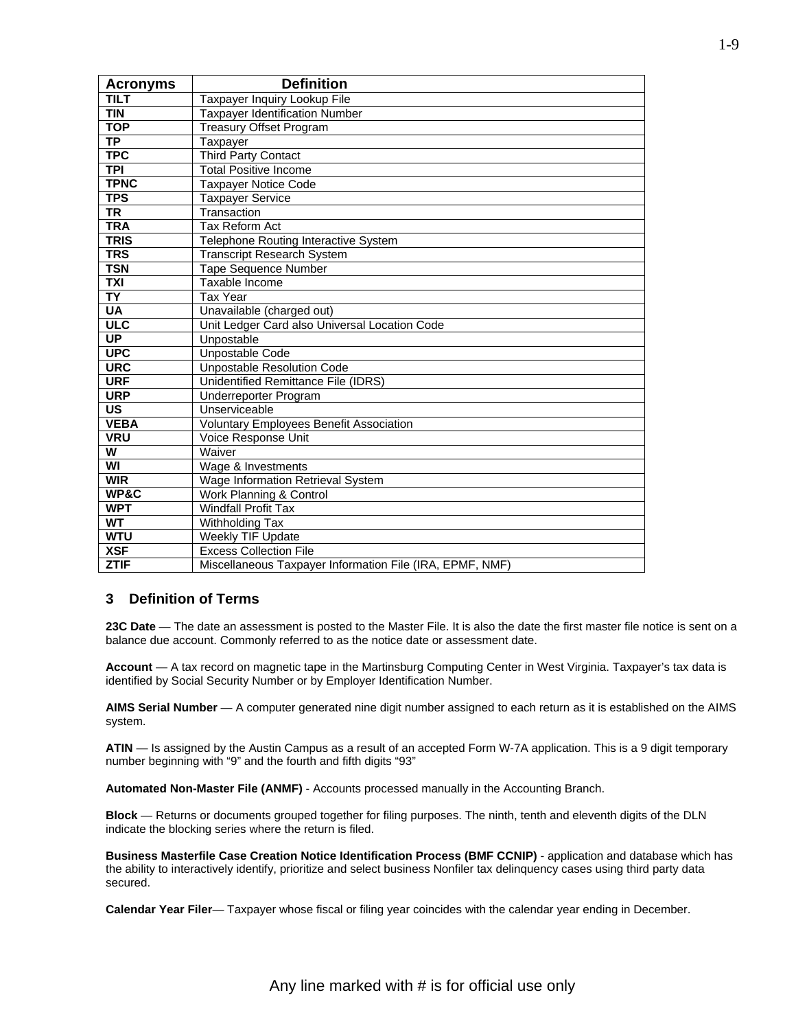| <b>Acronyms</b>         | <b>Definition</b>                                        |
|-------------------------|----------------------------------------------------------|
| <b>TILT</b>             | Taxpayer Inquiry Lookup File                             |
| <b>TIN</b>              | <b>Taxpayer Identification Number</b>                    |
| <b>TOP</b>              | <b>Treasury Offset Program</b>                           |
| <b>TP</b>               | Taxpayer                                                 |
| <b>TPC</b>              | <b>Third Party Contact</b>                               |
| <b>TPI</b>              | <b>Total Positive Income</b>                             |
| <b>TPNC</b>             | <b>Taxpayer Notice Code</b>                              |
| <b>TPS</b>              | <b>Taxpayer Service</b>                                  |
| <b>TR</b>               | Transaction                                              |
| <b>TRA</b>              | <b>Tax Reform Act</b>                                    |
| <b>TRIS</b>             | Telephone Routing Interactive System                     |
| <b>TRS</b>              | <b>Transcript Research System</b>                        |
| <b>TSN</b>              | <b>Tape Sequence Number</b>                              |
| <b>TXI</b>              | Taxable Income                                           |
| <b>TY</b>               | <b>Tax Year</b>                                          |
| <b>UA</b>               | Unavailable (charged out)                                |
| <b>ULC</b>              | Unit Ledger Card also Universal Location Code            |
| $\overline{UP}$         | Unpostable                                               |
| <b>UPC</b>              | Unpostable Code                                          |
| <b>URC</b>              | <b>Unpostable Resolution Code</b>                        |
| <b>URF</b>              | Unidentified Remittance File (IDRS)                      |
| <b>URP</b>              | Underreporter Program                                    |
| US                      | Unserviceable                                            |
| <b>VEBA</b>             | <b>Voluntary Employees Benefit Association</b>           |
| <b>VRU</b>              | Voice Response Unit                                      |
| $\overline{\mathsf{w}}$ | Waiver                                                   |
| WI                      | Wage & Investments                                       |
| <b>WIR</b>              | Wage Information Retrieval System                        |
| WP&C                    | Work Planning & Control                                  |
| <b>WPT</b>              | <b>Windfall Profit Tax</b>                               |
| <b>WT</b>               | <b>Withholding Tax</b>                                   |
| <b>WTU</b>              | Weekly TIF Update                                        |
| <b>XSF</b>              | <b>Excess Collection File</b>                            |
| <b>ZTIF</b>             | Miscellaneous Taxpayer Information File (IRA, EPMF, NMF) |

#### **3 Definition of Terms**

**23C Date** — The date an assessment is posted to the Master File. It is also the date the first master file notice is sent on a balance due account. Commonly referred to as the notice date or assessment date.

**Account** — A tax record on magnetic tape in the Martinsburg Computing Center in West Virginia. Taxpayer's tax data is identified by Social Security Number or by Employer Identification Number.

**AIMS Serial Number** — A computer generated nine digit number assigned to each return as it is established on the AIMS system.

**ATIN** — Is assigned by the Austin Campus as a result of an accepted Form W-7A application. This is a 9 digit temporary number beginning with "9" and the fourth and fifth digits "93"

**Automated Non-Master File (ANMF)** - Accounts processed manually in the Accounting Branch.

**Block** — Returns or documents grouped together for filing purposes. The ninth, tenth and eleventh digits of the DLN indicate the blocking series where the return is filed.

**Business Masterfile Case Creation Notice Identification Process (BMF CCNIP)** - application and database which has the ability to interactively identify, prioritize and select business Nonfiler tax delinquency cases using third party data secured.

**Calendar Year Filer**— Taxpayer whose fiscal or filing year coincides with the calendar year ending in December.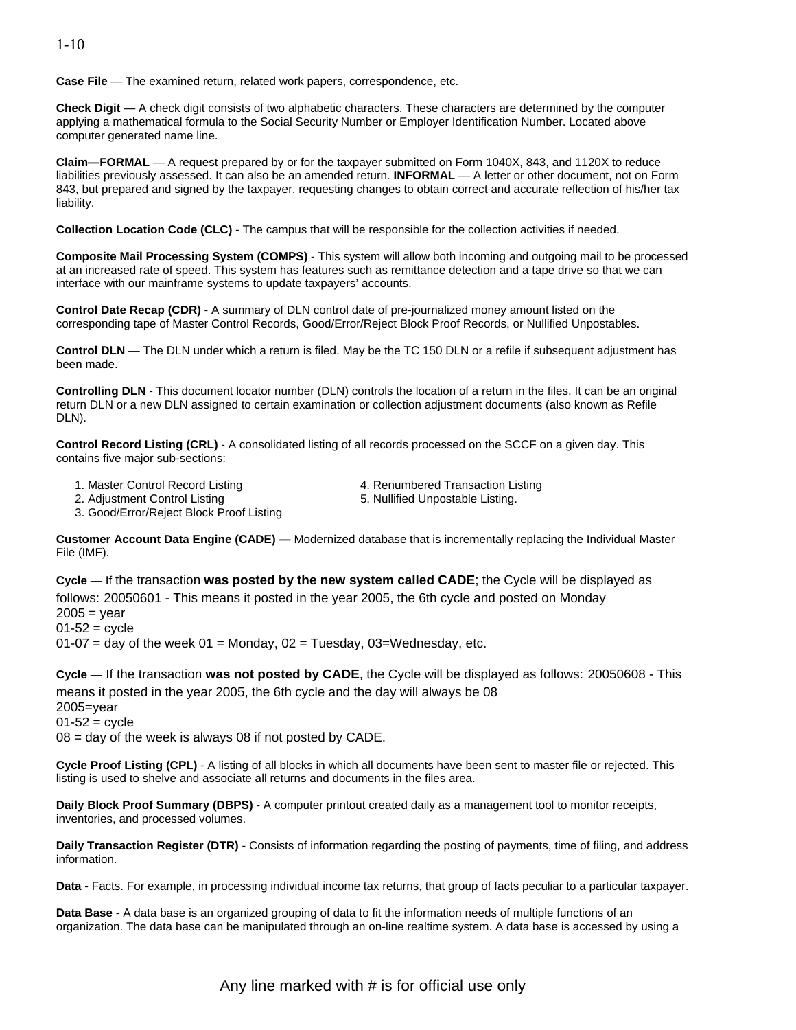**Case File** — The examined return, related work papers, correspondence, etc.

**Check Digit** — A check digit consists of two alphabetic characters. These characters are determined by the computer applying a mathematical formula to the Social Security Number or Employer Identification Number. Located above computer generated name line.

**Claim—FORMAL** — A request prepared by or for the taxpayer submitted on Form 1040X, 843, and 1120X to reduce liabilities previously assessed. It can also be an amended return. **INFORMAL** — A letter or other document, not on Form 843, but prepared and signed by the taxpayer, requesting changes to obtain correct and accurate reflection of his/her tax liability.

**Collection Location Code (CLC)** - The campus that will be responsible for the collection activities if needed.

**Composite Mail Processing System (COMPS)** - This system will allow both incoming and outgoing mail to be processed at an increased rate of speed. This system has features such as remittance detection and a tape drive so that we can interface with our mainframe systems to update taxpayers' accounts.

**Control Date Recap (CDR)** - A summary of DLN control date of pre-journalized money amount listed on the corresponding tape of Master Control Records, Good/Error/Reject Block Proof Records, or Nullified Unpostables.

**Control DLN** — The DLN under which a return is filed. May be the TC 150 DLN or a refile if subsequent adjustment has been made.

**Controlling DLN** - This document locator number (DLN) controls the location of a return in the files. It can be an original return DLN or a new DLN assigned to certain examination or collection adjustment documents (also known as Refile DLN).

**Control Record Listing (CRL)** - A consolidated listing of all records processed on the SCCF on a given day. This contains five major sub-sections:

1. Master Control Record Listing

2. Adjustment Control Listing

- 4. Renumbered Transaction Listing
- 5. Nullified Unpostable Listing.

3. Good/Error/Reject Block Proof Listing

**Customer Account Data Engine (CADE) —** Modernized database that is incrementally replacing the Individual Master File (IMF).

 follows: 20050601 - This means it posted in the year 2005, the 6th cycle and posted on Monday **Cycle** — If the transaction **was posted by the new system called CADE**; the Cycle will be displayed as  $2005 = \text{year}$  $01 - 52 =$  cycle  $01-07$  = day of the week  $01$  = Monday,  $02$  = Tuesday,  $03$ =Wednesday, etc.

 means it posted in the year 2005, the 6th cycle and the day will always be 08 **Cycle** — If the transaction **was not posted by CADE**, the Cycle will be displayed as follows: 20050608 - This 2005=year  $01-52 = c$ ycle  $08 = day$  of the week is always 08 if not posted by CADE.

**Cycle Proof Listing (CPL)** - A listing of all blocks in which all documents have been sent to master file or rejected. This listing is used to shelve and associate all returns and documents in the files area.

**Daily Block Proof Summary (DBPS)** - A computer printout created daily as a management tool to monitor receipts, inventories, and processed volumes.

**Daily Transaction Register (DTR)** - Consists of information regarding the posting of payments, time of filing, and address information.

**Data** - Facts. For example, in processing individual income tax returns, that group of facts peculiar to a particular taxpayer.

**Data Base** - A data base is an organized grouping of data to fit the information needs of multiple functions of an organization. The data base can be manipulated through an on-line realtime system. A data base is accessed by using a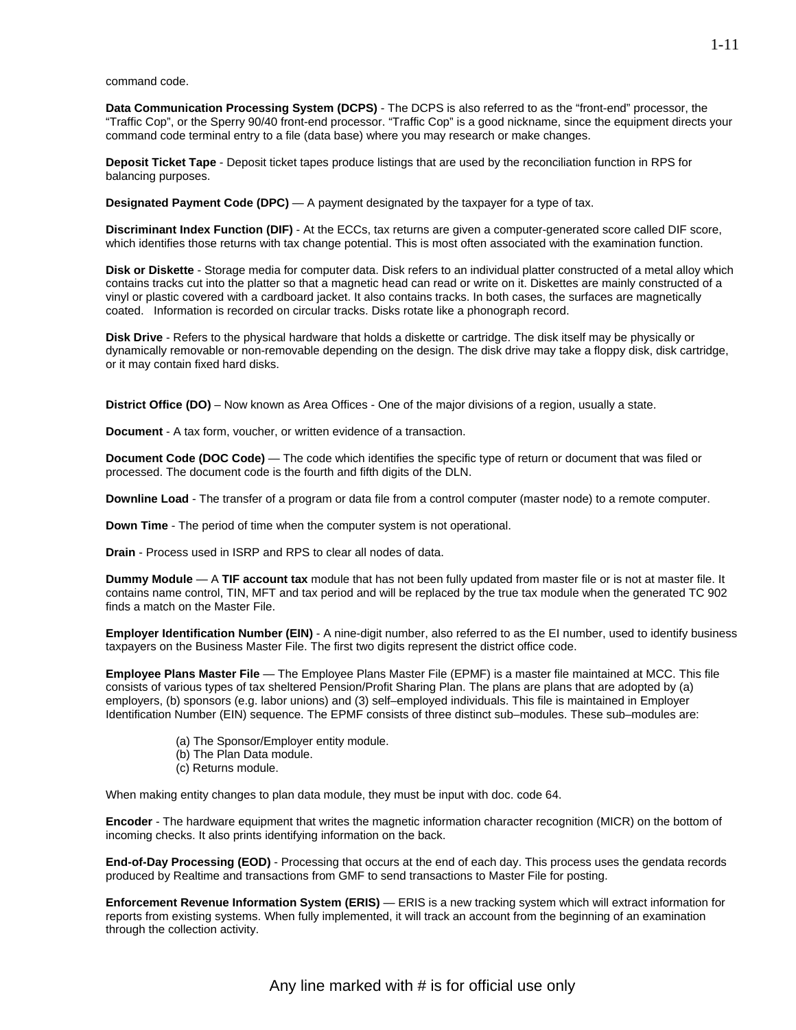command code.

**Data Communication Processing System (DCPS)** - The DCPS is also referred to as the "front-end" processor, the "Traffic Cop", or the Sperry 90/40 front-end processor. "Traffic Cop" is a good nickname, since the equipment directs your command code terminal entry to a file (data base) where you may research or make changes.

**Deposit Ticket Tape** - Deposit ticket tapes produce listings that are used by the reconciliation function in RPS for balancing purposes.

**Designated Payment Code (DPC)** — A payment designated by the taxpayer for a type of tax.

**Discriminant Index Function (DIF)** - At the ECCs, tax returns are given a computer-generated score called DIF score, which identifies those returns with tax change potential. This is most often associated with the examination function.

**Disk or Diskette** - Storage media for computer data. Disk refers to an individual platter constructed of a metal alloy which contains tracks cut into the platter so that a magnetic head can read or write on it. Diskettes are mainly constructed of a vinyl or plastic covered with a cardboard jacket. It also contains tracks. In both cases, the surfaces are magnetically coated. Information is recorded on circular tracks. Disks rotate like a phonograph record.

**Disk Drive** - Refers to the physical hardware that holds a diskette or cartridge. The disk itself may be physically or dynamically removable or non-removable depending on the design. The disk drive may take a floppy disk, disk cartridge, or it may contain fixed hard disks.

**District Office (DO)** – Now known as Area Offices - One of the major divisions of a region, usually a state.

**Document** - A tax form, voucher, or written evidence of a transaction.

**Document Code (DOC Code)** — The code which identifies the specific type of return or document that was filed or processed. The document code is the fourth and fifth digits of the DLN.

**Downline Load** - The transfer of a program or data file from a control computer (master node) to a remote computer.

**Down Time** - The period of time when the computer system is not operational.

**Drain** - Process used in ISRP and RPS to clear all nodes of data.

**Dummy Module** — A **TIF account tax** module that has not been fully updated from master file or is not at master file. It contains name control, TIN, MFT and tax period and will be replaced by the true tax module when the generated TC 902 finds a match on the Master File.

**Employer Identification Number (EIN)** - A nine-digit number, also referred to as the EI number, used to identify business taxpayers on the Business Master File. The first two digits represent the district office code.

**Employee Plans Master File** — The Employee Plans Master File (EPMF) is a master file maintained at MCC. This file consists of various types of tax sheltered Pension/Profit Sharing Plan. The plans are plans that are adopted by (a) employers, (b) sponsors (e.g. labor unions) and (3) self–employed individuals. This file is maintained in Employer Identification Number (EIN) sequence. The EPMF consists of three distinct sub–modules. These sub–modules are:

- (a) The Sponsor/Employer entity module.
- (b) The Plan Data module.
- (c) Returns module.

When making entity changes to plan data module, they must be input with doc. code 64.

**Encoder** - The hardware equipment that writes the magnetic information character recognition (MICR) on the bottom of incoming checks. It also prints identifying information on the back.

**End-of-Day Processing (EOD)** - Processing that occurs at the end of each day. This process uses the gendata records produced by Realtime and transactions from GMF to send transactions to Master File for posting.

**Enforcement Revenue Information System (ERIS)** — ERIS is a new tracking system which will extract information for reports from existing systems. When fully implemented, it will track an account from the beginning of an examination through the collection activity.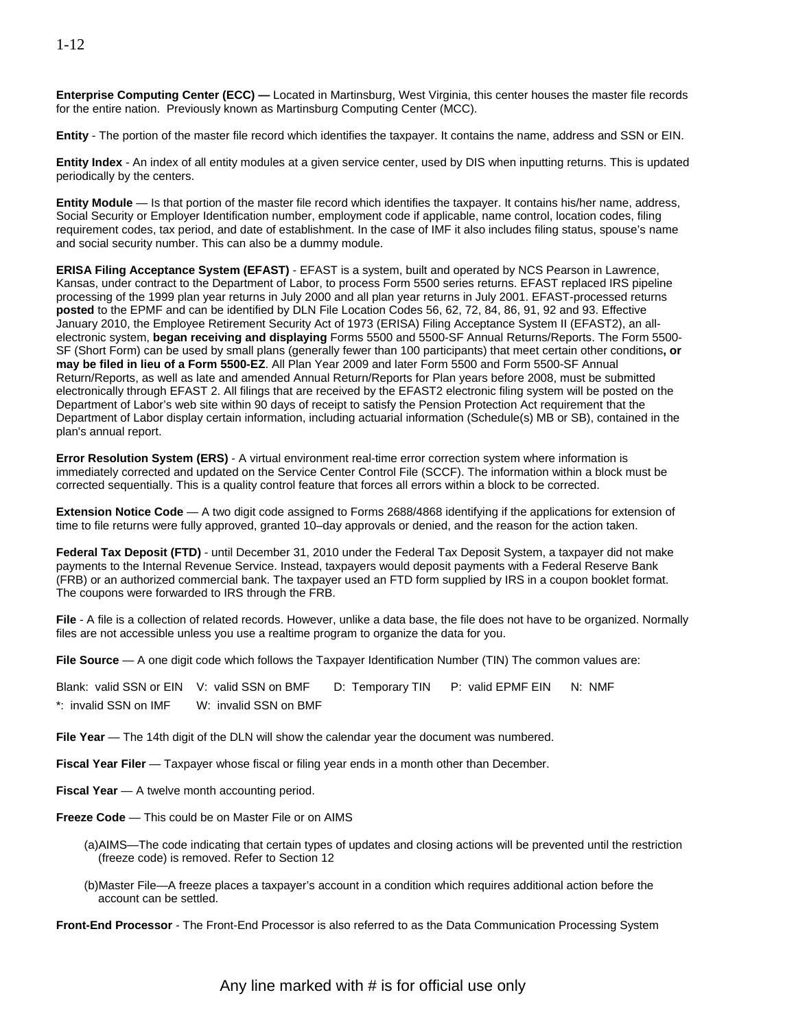**Enterprise Computing Center (ECC) —** Located in Martinsburg, West Virginia, this center houses the master file records for the entire nation. Previously known as Martinsburg Computing Center (MCC).

**Entity** - The portion of the master file record which identifies the taxpayer. It contains the name, address and SSN or EIN.

**Entity Index** - An index of all entity modules at a given service center, used by DIS when inputting returns. This is updated periodically by the centers.

**Entity Module** — Is that portion of the master file record which identifies the taxpayer. It contains his/her name, address, Social Security or Employer Identification number, employment code if applicable, name control, location codes, filing requirement codes, tax period, and date of establishment. In the case of IMF it also includes filing status, spouse's name and social security number. This can also be a dummy module.

**ERISA Filing Acceptance System (EFAST)** - EFAST is a system, built and operated by NCS Pearson in Lawrence, Kansas, under contract to the Department of Labor, to process Form 5500 series returns. EFAST replaced IRS pipeline processing of the 1999 plan year returns in July 2000 and all plan year returns in July 2001. EFAST-processed returns **posted** to the EPMF and can be identified by DLN File Location Codes 56, 62, 72, 84, 86, 91, 92 and 93. Effective January 2010, the Employee Retirement Security Act of 1973 (ERISA) Filing Acceptance System II (EFAST2), an allelectronic system, **began receiving and displaying** Forms 5500 and 5500-SF Annual Returns/Reports. The Form 5500- SF (Short Form) can be used by small plans (generally fewer than 100 participants) that meet certain other conditions**, or may be filed in lieu of a Form 5500-EZ**. All Plan Year 2009 and later Form 5500 and Form 5500-SF Annual Return/Reports, as well as late and amended Annual Return/Reports for Plan years before 2008, must be submitted electronically through EFAST 2. All filings that are received by the EFAST2 electronic filing system will be posted on the Department of Labor's web site within 90 days of receipt to satisfy the Pension Protection Act requirement that the Department of Labor display certain information, including actuarial information (Schedule(s) MB or SB), contained in the plan's annual report.

**Error Resolution System (ERS)** - A virtual environment real-time error correction system where information is immediately corrected and updated on the Service Center Control File (SCCF). The information within a block must be corrected sequentially. This is a quality control feature that forces all errors within a block to be corrected.

**Extension Notice Code** — A two digit code assigned to Forms 2688/4868 identifying if the applications for extension of time to file returns were fully approved, granted 10–day approvals or denied, and the reason for the action taken.

**Federal Tax Deposit (FTD)** - until December 31, 2010 under the Federal Tax Deposit System, a taxpayer did not make payments to the Internal Revenue Service. Instead, taxpayers would deposit payments with a Federal Reserve Bank (FRB) or an authorized commercial bank. The taxpayer used an FTD form supplied by IRS in a coupon booklet format. The coupons were forwarded to IRS through the FRB.

**File** - A file is a collection of related records. However, unlike a data base, the file does not have to be organized. Normally files are not accessible unless you use a realtime program to organize the data for you.

**File Source** — A one digit code which follows the Taxpayer Identification Number (TIN) The common values are:

Blank: valid SSN or EIN V: valid SSN on BMF D: Temporary TIN P: valid EPMF EIN N: NMF \*: invalid SSN on IMF W: invalid SSN on BMF

**File Year** — The 14th digit of the DLN will show the calendar year the document was numbered.

**Fiscal Year Filer** — Taxpayer whose fiscal or filing year ends in a month other than December.

- **Fiscal Year** A twelve month accounting period.
- **Freeze Code**  This could be on Master File or on AIMS
	- (a)AIMS—The code indicating that certain types of updates and closing actions will be prevented until the restriction (freeze code) is removed. Refer to Section 12
	- (b)Master File—A freeze places a taxpayer's account in a condition which requires additional action before the account can be settled.

**Front-End Processor** - The Front-End Processor is also referred to as the Data Communication Processing System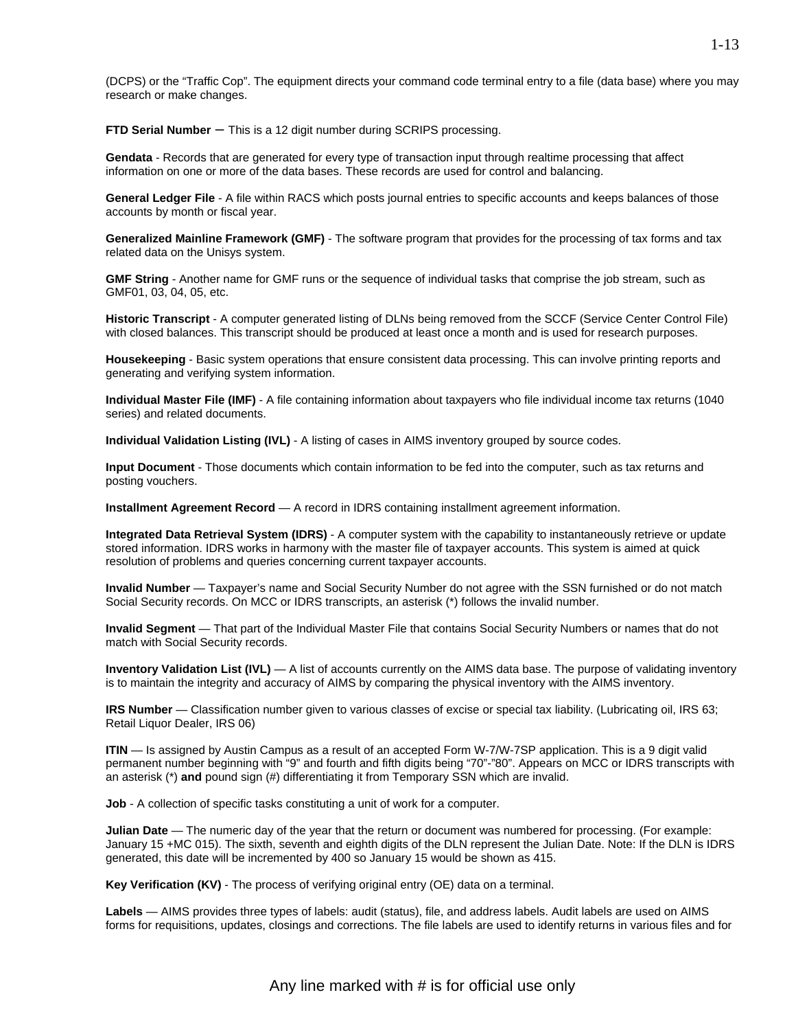(DCPS) or the "Traffic Cop". The equipment directs your command code terminal entry to a file (data base) where you may research or make changes.

**FTD Serial Number** – This is a 12 digit number during SCRIPS processing.

**Gendata** - Records that are generated for every type of transaction input through realtime processing that affect information on one or more of the data bases. These records are used for control and balancing.

**General Ledger File** - A file within RACS which posts journal entries to specific accounts and keeps balances of those accounts by month or fiscal year.

**Generalized Mainline Framework (GMF)** - The software program that provides for the processing of tax forms and tax related data on the Unisys system.

**GMF String** - Another name for GMF runs or the sequence of individual tasks that comprise the job stream, such as GMF01, 03, 04, 05, etc.

**Historic Transcript** - A computer generated listing of DLNs being removed from the SCCF (Service Center Control File) with closed balances. This transcript should be produced at least once a month and is used for research purposes.

**Housekeeping** - Basic system operations that ensure consistent data processing. This can involve printing reports and generating and verifying system information.

**Individual Master File (IMF)** - A file containing information about taxpayers who file individual income tax returns (1040 series) and related documents.

**Individual Validation Listing (IVL)** - A listing of cases in AIMS inventory grouped by source codes.

**Input Document** - Those documents which contain information to be fed into the computer, such as tax returns and posting vouchers.

**Installment Agreement Record** — A record in IDRS containing installment agreement information.

**Integrated Data Retrieval System (IDRS)** - A computer system with the capability to instantaneously retrieve or update stored information. IDRS works in harmony with the master file of taxpayer accounts. This system is aimed at quick resolution of problems and queries concerning current taxpayer accounts.

**Invalid Number** — Taxpayer's name and Social Security Number do not agree with the SSN furnished or do not match Social Security records. On MCC or IDRS transcripts, an asterisk (\*) follows the invalid number.

**Invalid Segment** — That part of the Individual Master File that contains Social Security Numbers or names that do not match with Social Security records.

**Inventory Validation List (IVL)** — A list of accounts currently on the AIMS data base. The purpose of validating inventory is to maintain the integrity and accuracy of AIMS by comparing the physical inventory with the AIMS inventory.

**IRS Number** — Classification number given to various classes of excise or special tax liability. (Lubricating oil, IRS 63; Retail Liquor Dealer, IRS 06)

**ITIN** — Is assigned by Austin Campus as a result of an accepted Form W-7/W-7SP application. This is a 9 digit valid permanent number beginning with "9" and fourth and fifth digits being "70"-"80". Appears on MCC or IDRS transcripts with an asterisk (\*) **and** pound sign (#) differentiating it from Temporary SSN which are invalid.

**Job** - A collection of specific tasks constituting a unit of work for a computer.

**Julian Date** — The numeric day of the year that the return or document was numbered for processing. (For example: January 15 +MC 015). The sixth, seventh and eighth digits of the DLN represent the Julian Date. Note: If the DLN is IDRS generated, this date will be incremented by 400 so January 15 would be shown as 415.

**Key Verification (KV)** - The process of verifying original entry (OE) data on a terminal.

**Labels** — AIMS provides three types of labels: audit (status), file, and address labels. Audit labels are used on AIMS forms for requisitions, updates, closings and corrections. The file labels are used to identify returns in various files and for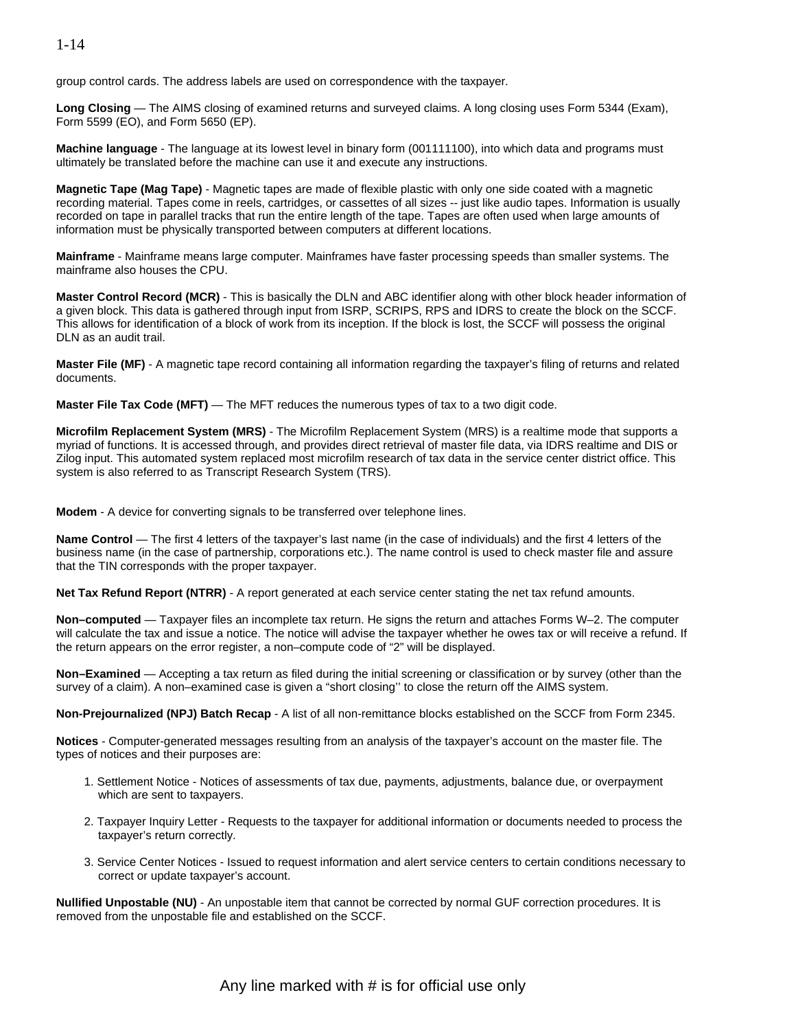#### 1-14

group control cards. The address labels are used on correspondence with the taxpayer.

**Long Closing** — The AIMS closing of examined returns and surveyed claims. A long closing uses Form 5344 (Exam), Form 5599 (EO), and Form 5650 (EP).

**Machine language** - The language at its lowest level in binary form (001111100), into which data and programs must ultimately be translated before the machine can use it and execute any instructions.

**Magnetic Tape (Mag Tape)** - Magnetic tapes are made of flexible plastic with only one side coated with a magnetic recording material. Tapes come in reels, cartridges, or cassettes of all sizes -- just like audio tapes. Information is usually recorded on tape in parallel tracks that run the entire length of the tape. Tapes are often used when large amounts of information must be physically transported between computers at different locations.

**Mainframe** - Mainframe means large computer. Mainframes have faster processing speeds than smaller systems. The mainframe also houses the CPU.

**Master Control Record (MCR)** - This is basically the DLN and ABC identifier along with other block header information of a given block. This data is gathered through input from ISRP, SCRIPS, RPS and IDRS to create the block on the SCCF. This allows for identification of a block of work from its inception. If the block is lost, the SCCF will possess the original DLN as an audit trail.

**Master File (MF)** - A magnetic tape record containing all information regarding the taxpayer's filing of returns and related documents.

**Master File Tax Code (MFT)** — The MFT reduces the numerous types of tax to a two digit code.

**Microfilm Replacement System (MRS)** - The Microfilm Replacement System (MRS) is a realtime mode that supports a myriad of functions. It is accessed through, and provides direct retrieval of master file data, via IDRS realtime and DIS or Zilog input. This automated system replaced most microfilm research of tax data in the service center district office. This system is also referred to as Transcript Research System (TRS).

**Modem** - A device for converting signals to be transferred over telephone lines.

**Name Control** — The first 4 letters of the taxpayer's last name (in the case of individuals) and the first 4 letters of the business name (in the case of partnership, corporations etc.). The name control is used to check master file and assure that the TIN corresponds with the proper taxpayer.

**Net Tax Refund Report (NTRR)** - A report generated at each service center stating the net tax refund amounts.

**Non–computed** — Taxpayer files an incomplete tax return. He signs the return and attaches Forms W–2. The computer will calculate the tax and issue a notice. The notice will advise the taxpayer whether he owes tax or will receive a refund. If the return appears on the error register, a non–compute code of "2" will be displayed.

**Non–Examined** — Accepting a tax return as filed during the initial screening or classification or by survey (other than the survey of a claim). A non–examined case is given a "short closing" to close the return off the AIMS system.

**Non-Prejournalized (NPJ) Batch Recap** - A list of all non-remittance blocks established on the SCCF from Form 2345.

**Notices** - Computer-generated messages resulting from an analysis of the taxpayer's account on the master file. The types of notices and their purposes are:

- 1. Settlement Notice Notices of assessments of tax due, payments, adjustments, balance due, or overpayment which are sent to taxpayers.
- 2. Taxpayer Inquiry Letter Requests to the taxpayer for additional information or documents needed to process the taxpayer's return correctly.
- 3. Service Center Notices Issued to request information and alert service centers to certain conditions necessary to correct or update taxpayer's account.

**Nullified Unpostable (NU)** - An unpostable item that cannot be corrected by normal GUF correction procedures. It is removed from the unpostable file and established on the SCCF.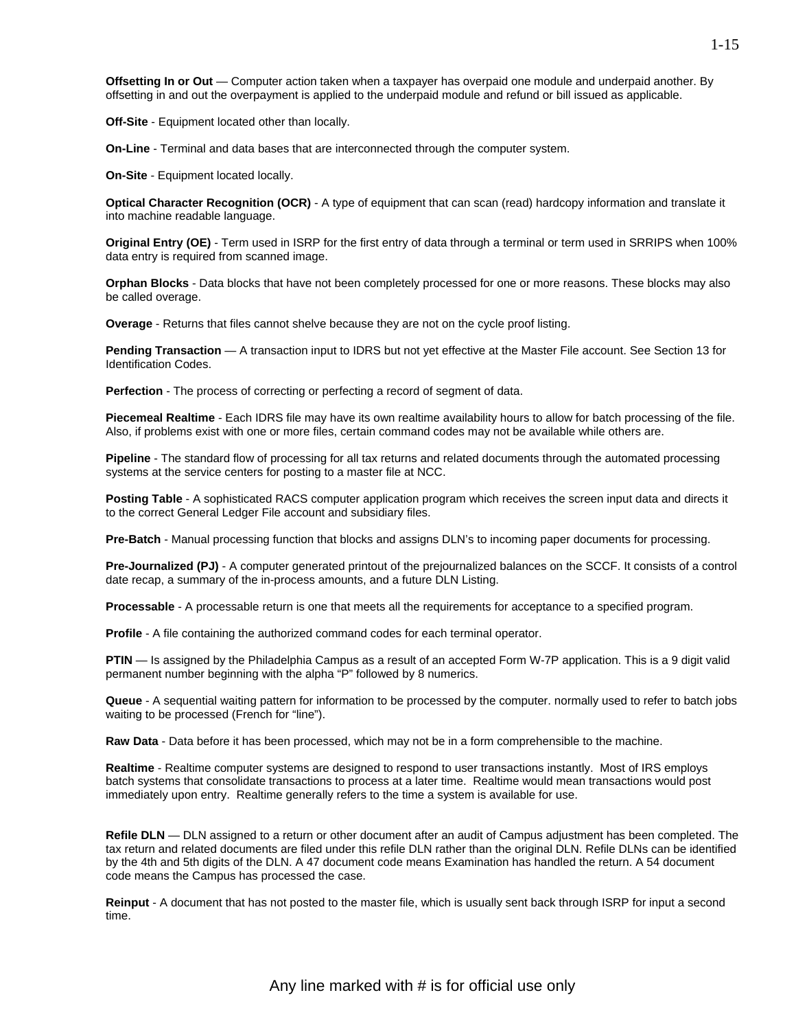**Offsetting In or Out** — Computer action taken when a taxpayer has overpaid one module and underpaid another. By offsetting in and out the overpayment is applied to the underpaid module and refund or bill issued as applicable.

**Off-Site** - Equipment located other than locally.

**On-Line** - Terminal and data bases that are interconnected through the computer system.

**On-Site** - Equipment located locally.

**Optical Character Recognition (OCR)** - A type of equipment that can scan (read) hardcopy information and translate it into machine readable language.

**Original Entry (OE)** - Term used in ISRP for the first entry of data through a terminal or term used in SRRIPS when 100% data entry is required from scanned image.

**Orphan Blocks** - Data blocks that have not been completely processed for one or more reasons. These blocks may also be called overage.

**Overage** - Returns that files cannot shelve because they are not on the cycle proof listing.

**Pending Transaction** — A transaction input to IDRS but not yet effective at the Master File account. See Section 13 for Identification Codes.

**Perfection** - The process of correcting or perfecting a record of segment of data.

**Piecemeal Realtime** - Each IDRS file may have its own realtime availability hours to allow for batch processing of the file. Also, if problems exist with one or more files, certain command codes may not be available while others are.

**Pipeline** - The standard flow of processing for all tax returns and related documents through the automated processing systems at the service centers for posting to a master file at NCC.

**Posting Table** - A sophisticated RACS computer application program which receives the screen input data and directs it to the correct General Ledger File account and subsidiary files.

**Pre-Batch** - Manual processing function that blocks and assigns DLN's to incoming paper documents for processing.

**Pre-Journalized (PJ)** - A computer generated printout of the prejournalized balances on the SCCF. It consists of a control date recap, a summary of the in-process amounts, and a future DLN Listing.

**Processable** - A processable return is one that meets all the requirements for acceptance to a specified program.

**Profile** - A file containing the authorized command codes for each terminal operator.

**PTIN** — Is assigned by the Philadelphia Campus as a result of an accepted Form W-7P application. This is a 9 digit valid permanent number beginning with the alpha "P" followed by 8 numerics.

**Queue** - A sequential waiting pattern for information to be processed by the computer. normally used to refer to batch jobs waiting to be processed (French for "line").

**Raw Data** - Data before it has been processed, which may not be in a form comprehensible to the machine.

**Realtime** - Realtime computer systems are designed to respond to user transactions instantly. Most of IRS employs batch systems that consolidate transactions to process at a later time. Realtime would mean transactions would post immediately upon entry. Realtime generally refers to the time a system is available for use.

**Refile DLN** — DLN assigned to a return or other document after an audit of Campus adjustment has been completed. The tax return and related documents are filed under this refile DLN rather than the original DLN. Refile DLNs can be identified by the 4th and 5th digits of the DLN. A 47 document code means Examination has handled the return. A 54 document code means the Campus has processed the case.

**Reinput** - A document that has not posted to the master file, which is usually sent back through ISRP for input a second time.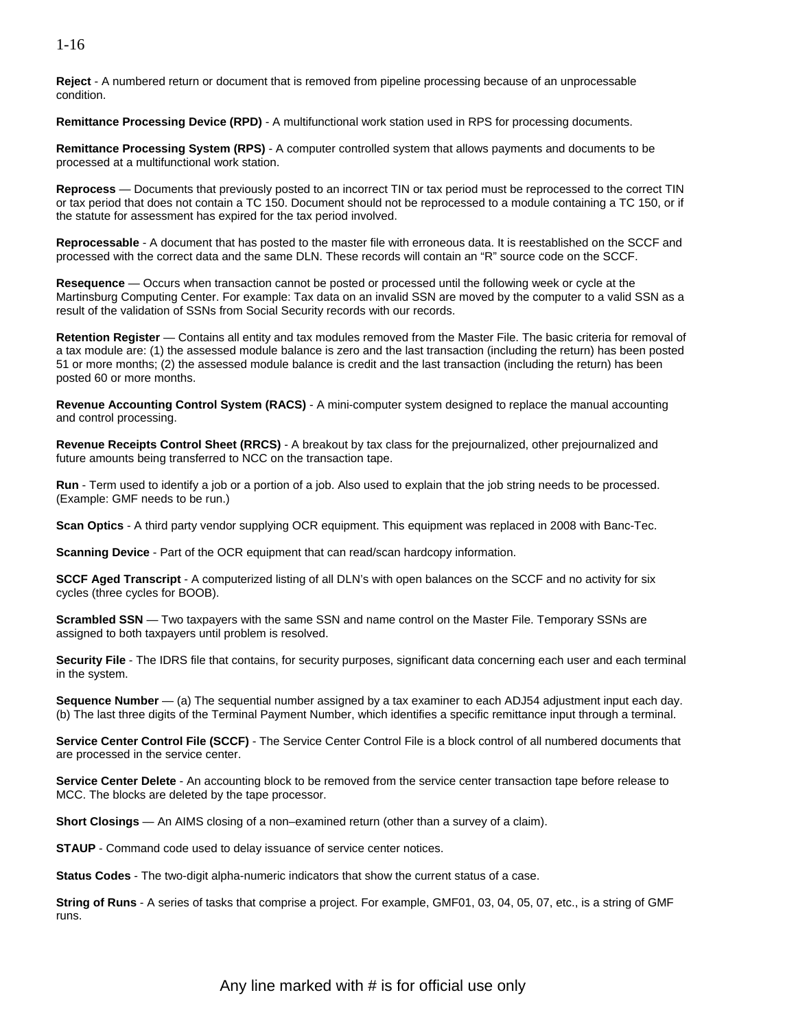**Reject** - A numbered return or document that is removed from pipeline processing because of an unprocessable condition.

**Remittance Processing Device (RPD)** - A multifunctional work station used in RPS for processing documents.

**Remittance Processing System (RPS)** - A computer controlled system that allows payments and documents to be processed at a multifunctional work station.

**Reprocess** — Documents that previously posted to an incorrect TIN or tax period must be reprocessed to the correct TIN or tax period that does not contain a TC 150. Document should not be reprocessed to a module containing a TC 150, or if the statute for assessment has expired for the tax period involved.

**Reprocessable** - A document that has posted to the master file with erroneous data. It is reestablished on the SCCF and processed with the correct data and the same DLN. These records will contain an "R" source code on the SCCF.

**Resequence** — Occurs when transaction cannot be posted or processed until the following week or cycle at the Martinsburg Computing Center. For example: Tax data on an invalid SSN are moved by the computer to a valid SSN as a result of the validation of SSNs from Social Security records with our records.

**Retention Register** — Contains all entity and tax modules removed from the Master File. The basic criteria for removal of a tax module are: (1) the assessed module balance is zero and the last transaction (including the return) has been posted 51 or more months; (2) the assessed module balance is credit and the last transaction (including the return) has been posted 60 or more months.

**Revenue Accounting Control System (RACS)** - A mini-computer system designed to replace the manual accounting and control processing.

**Revenue Receipts Control Sheet (RRCS)** - A breakout by tax class for the prejournalized, other prejournalized and future amounts being transferred to NCC on the transaction tape.

**Run** - Term used to identify a job or a portion of a job. Also used to explain that the job string needs to be processed. (Example: GMF needs to be run.)

**Scan Optics** - A third party vendor supplying OCR equipment. This equipment was replaced in 2008 with Banc-Tec.

**Scanning Device** - Part of the OCR equipment that can read/scan hardcopy information.

**SCCF Aged Transcript** - A computerized listing of all DLN's with open balances on the SCCF and no activity for six cycles (three cycles for BOOB).

**Scrambled SSN** — Two taxpayers with the same SSN and name control on the Master File. Temporary SSNs are assigned to both taxpayers until problem is resolved.

**Security File** - The IDRS file that contains, for security purposes, significant data concerning each user and each terminal in the system.

**Sequence Number** — (a) The sequential number assigned by a tax examiner to each ADJ54 adjustment input each day. (b) The last three digits of the Terminal Payment Number, which identifies a specific remittance input through a terminal.

**Service Center Control File (SCCF)** - The Service Center Control File is a block control of all numbered documents that are processed in the service center.

**Service Center Delete** - An accounting block to be removed from the service center transaction tape before release to MCC. The blocks are deleted by the tape processor.

**Short Closings** — An AIMS closing of a non–examined return (other than a survey of a claim).

**STAUP** - Command code used to delay issuance of service center notices.

**Status Codes** - The two-digit alpha-numeric indicators that show the current status of a case.

**String of Runs** - A series of tasks that comprise a project. For example, GMF01, 03, 04, 05, 07, etc., is a string of GMF runs.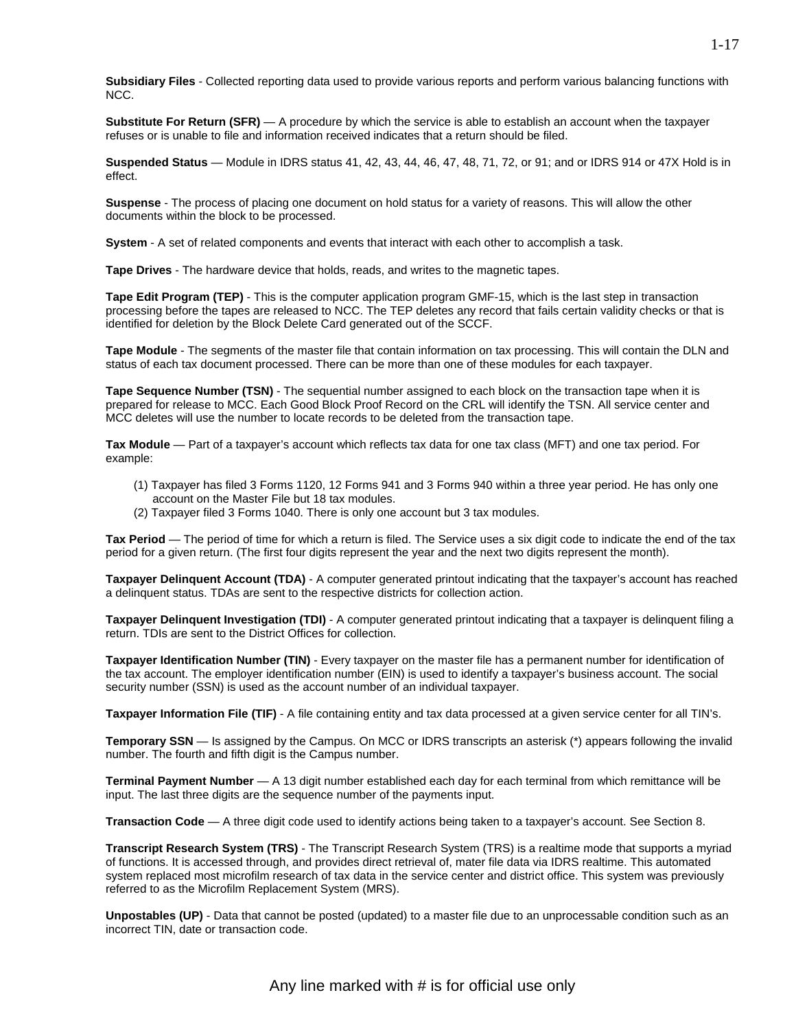**Subsidiary Files** - Collected reporting data used to provide various reports and perform various balancing functions with NCC.

**Substitute For Return (SFR)** — A procedure by which the service is able to establish an account when the taxpayer refuses or is unable to file and information received indicates that a return should be filed.

**Suspended Status** — Module in IDRS status 41, 42, 43, 44, 46, 47, 48, 71, 72, or 91; and or IDRS 914 or 47X Hold is in effect.

**Suspense** - The process of placing one document on hold status for a variety of reasons. This will allow the other documents within the block to be processed.

**System** - A set of related components and events that interact with each other to accomplish a task.

**Tape Drives** - The hardware device that holds, reads, and writes to the magnetic tapes.

**Tape Edit Program (TEP)** - This is the computer application program GMF-15, which is the last step in transaction processing before the tapes are released to NCC. The TEP deletes any record that fails certain validity checks or that is identified for deletion by the Block Delete Card generated out of the SCCF.

**Tape Module** - The segments of the master file that contain information on tax processing. This will contain the DLN and status of each tax document processed. There can be more than one of these modules for each taxpayer.

**Tape Sequence Number (TSN)** - The sequential number assigned to each block on the transaction tape when it is prepared for release to MCC. Each Good Block Proof Record on the CRL will identify the TSN. All service center and MCC deletes will use the number to locate records to be deleted from the transaction tape.

**Tax Module** — Part of a taxpayer's account which reflects tax data for one tax class (MFT) and one tax period. For example:

- (1) Taxpayer has filed 3 Forms 1120, 12 Forms 941 and 3 Forms 940 within a three year period. He has only one account on the Master File but 18 tax modules.
- (2) Taxpayer filed 3 Forms 1040. There is only one account but 3 tax modules.

**Tax Period** — The period of time for which a return is filed. The Service uses a six digit code to indicate the end of the tax period for a given return. (The first four digits represent the year and the next two digits represent the month).

**Taxpayer Delinquent Account (TDA)** - A computer generated printout indicating that the taxpayer's account has reached a delinquent status. TDAs are sent to the respective districts for collection action.

**Taxpayer Delinquent Investigation (TDI)** - A computer generated printout indicating that a taxpayer is delinquent filing a return. TDIs are sent to the District Offices for collection.

**Taxpayer Identification Number (TIN)** - Every taxpayer on the master file has a permanent number for identification of the tax account. The employer identification number (EIN) is used to identify a taxpayer's business account. The social security number (SSN) is used as the account number of an individual taxpayer.

**Taxpayer Information File (TIF)** - A file containing entity and tax data processed at a given service center for all TIN's.

**Temporary SSN** — Is assigned by the Campus. On MCC or IDRS transcripts an asterisk (\*) appears following the invalid number. The fourth and fifth digit is the Campus number.

**Terminal Payment Number** — A 13 digit number established each day for each terminal from which remittance will be input. The last three digits are the sequence number of the payments input.

**Transaction Code** — A three digit code used to identify actions being taken to a taxpayer's account. See Section 8.

**Transcript Research System (TRS)** - The Transcript Research System (TRS) is a realtime mode that supports a myriad of functions. It is accessed through, and provides direct retrieval of, mater file data via IDRS realtime. This automated system replaced most microfilm research of tax data in the service center and district office. This system was previously referred to as the Microfilm Replacement System (MRS).

**Unpostables (UP)** - Data that cannot be posted (updated) to a master file due to an unprocessable condition such as an incorrect TIN, date or transaction code.